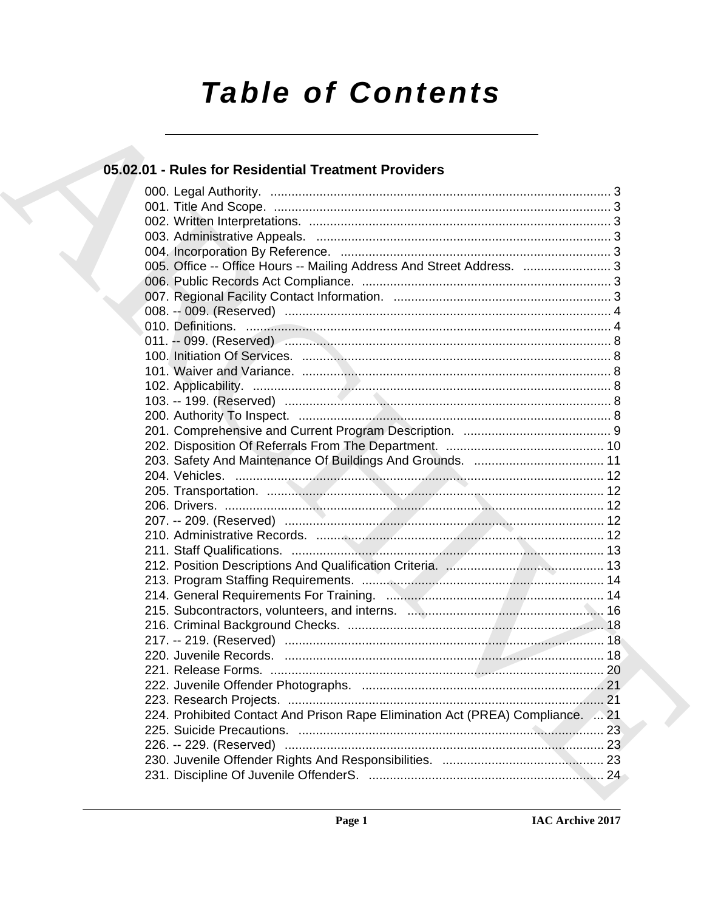# **Table of Contents**

## 05.02.01 - Rules for Residential Treatment Providers

| 005. Office -- Office Hours -- Mailing Address And Street Address.  3          |
|--------------------------------------------------------------------------------|
|                                                                                |
|                                                                                |
|                                                                                |
|                                                                                |
|                                                                                |
|                                                                                |
|                                                                                |
|                                                                                |
|                                                                                |
|                                                                                |
|                                                                                |
|                                                                                |
|                                                                                |
|                                                                                |
|                                                                                |
|                                                                                |
|                                                                                |
|                                                                                |
|                                                                                |
|                                                                                |
|                                                                                |
|                                                                                |
|                                                                                |
|                                                                                |
|                                                                                |
|                                                                                |
|                                                                                |
|                                                                                |
|                                                                                |
| 224. Prohibited Contact And Prison Rape Elimination Act (PREA) Compliance.  21 |
|                                                                                |
|                                                                                |
|                                                                                |
|                                                                                |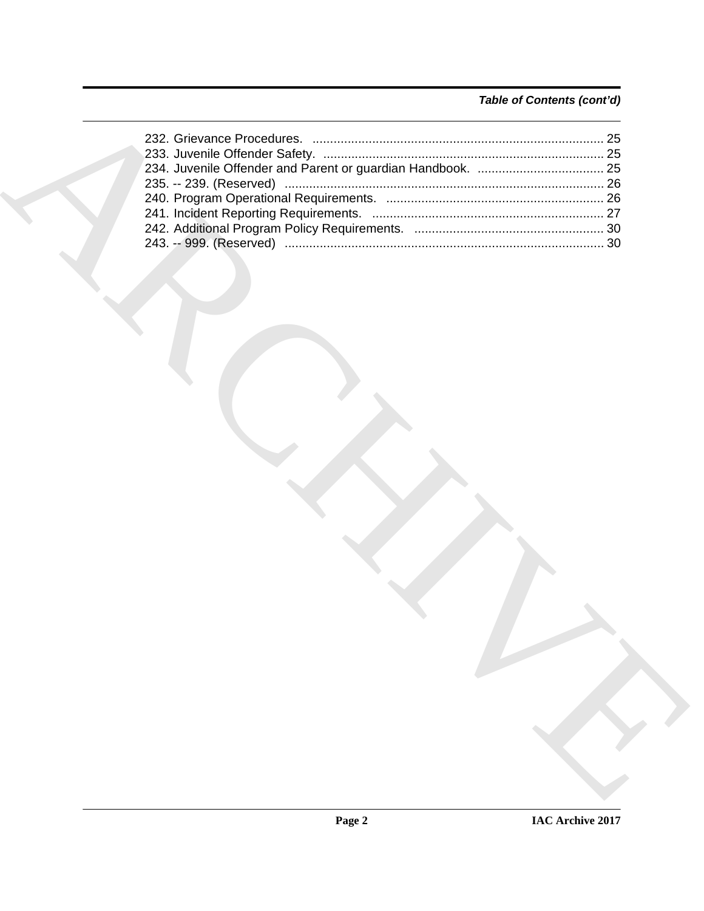### *Table of Contents (cont'd)*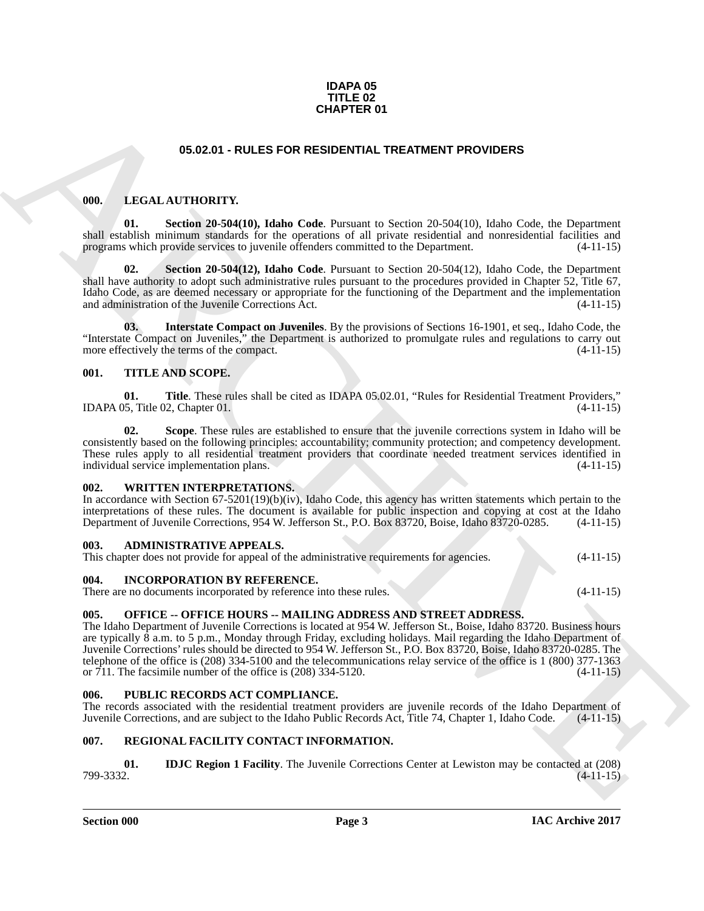#### **IDAPA 05 TITLE 02 CHAPTER 01**

### <span id="page-2-13"></span>**05.02.01 - RULES FOR RESIDENTIAL TREATMENT PROVIDERS**

#### <span id="page-2-11"></span><span id="page-2-1"></span><span id="page-2-0"></span>**000. LEGAL AUTHORITY.**

**01. Section 20-504(10), Idaho Code**. Pursuant to Section 20-504(10), Idaho Code, the Department shall establish minimum standards for the operations of all private residential and nonresidential facilities and programs which provide services to juvenile offenders committed to the Department. (4-11-15) programs which provide services to juvenile offenders committed to the Department.

<span id="page-2-14"></span>**02. Section 20-504(12), Idaho Code**. Pursuant to Section 20-504(12), Idaho Code, the Department shall have authority to adopt such administrative rules pursuant to the procedures provided in Chapter 52, Title 67, Idaho Code, as are deemed necessary or appropriate for the functioning of the Department and the implementation and administration of the Juvenile Corrections Act.

<span id="page-2-12"></span>**03. Interstate Compact on Juveniles**. By the provisions of Sections 16-1901, et seq., Idaho Code, the "Interstate Compact on Juveniles," the Department is authorized to promulgate rules and regulations to carry out more effectively the terms of the compact. more effectively the terms of the compact.

#### <span id="page-2-19"></span><span id="page-2-2"></span>**001. TITLE AND SCOPE.**

<span id="page-2-21"></span>**01. Title**. These rules shall be cited as IDAPA 05.02.01, "Rules for Residential Treatment Providers,"  $(4-11-15)$ IDAPA 05, Title 02, Chapter  $01$ .

<span id="page-2-20"></span>**Scope**. These rules are established to ensure that the juvenile corrections system in Idaho will be consistently based on the following principles: accountability; community protection; and competency development. These rules apply to all residential treatment providers that coordinate needed treatment services identified in individual service implementation plans. (4-11-15)

#### <span id="page-2-22"></span><span id="page-2-3"></span>**002. WRITTEN INTERPRETATIONS.**

In accordance with Section 67-5201(19)(b)(iv), Idaho Code, this agency has written statements which pertain to the interpretations of these rules. The document is available for public inspection and copying at cost at the Idaho Department of Juvenile Corrections, 954 W. Jefferson St., P.O. Box 83720, Boise, Idaho 83720-0285. (4-11-15)

#### <span id="page-2-9"></span><span id="page-2-4"></span>**003. ADMINISTRATIVE APPEALS.**

This chapter does not provide for appeal of the administrative requirements for agencies. (4-11-15)

#### <span id="page-2-10"></span><span id="page-2-5"></span>**004. INCORPORATION BY REFERENCE.**

There are no documents incorporated by reference into these rules. (4-11-15)

#### <span id="page-2-15"></span><span id="page-2-6"></span>**005. OFFICE -- OFFICE HOURS -- MAILING ADDRESS AND STREET ADDRESS.**

**CHAPTER 01**<br> **CHARCHIVE STORE SCIENTIFIC TREATMENT PROVIDERS**<br> **CHARCHIVE STORE ARCHIVE STORE AND ARCHIVE STORE ARCHIVE STORE ARCHIVE STORE ARCHIVE STORE (A) (A) SUMMAN CHARCHIVE STORE ARCHIVE STORE ARCHIVE STORE ARCHIVE** The Idaho Department of Juvenile Corrections is located at 954 W. Jefferson St., Boise, Idaho 83720. Business hours are typically 8 a.m. to 5 p.m., Monday through Friday, excluding holidays. Mail regarding the Idaho Department of Juvenile Corrections' rules should be directed to 954 W. Jefferson St., P.O. Box 83720, Boise, Idaho 83720-0285. The telephone of the office is (208) 334-5100 and the telecommunications relay service of the office is 1 (800) 377-1363 or 711. The facsimile number of the office is (208) 334-5120. (4-11-15)

#### <span id="page-2-16"></span><span id="page-2-7"></span>**006. PUBLIC RECORDS ACT COMPLIANCE.**

The records associated with the residential treatment providers are juvenile records of the Idaho Department of Juvenile Corrections, and are subject to the Idaho Public Records Act, Title 74, Chapter 1, Idaho Code. (4-11-15)

#### <span id="page-2-17"></span><span id="page-2-8"></span>**007. REGIONAL FACILITY CONTACT INFORMATION.**

<span id="page-2-18"></span>**01. IDJC Region 1 Facility**. The Juvenile Corrections Center at Lewiston may be contacted at (208) 799-3332. **(4-11-15**) 799-3332. (4-11-15)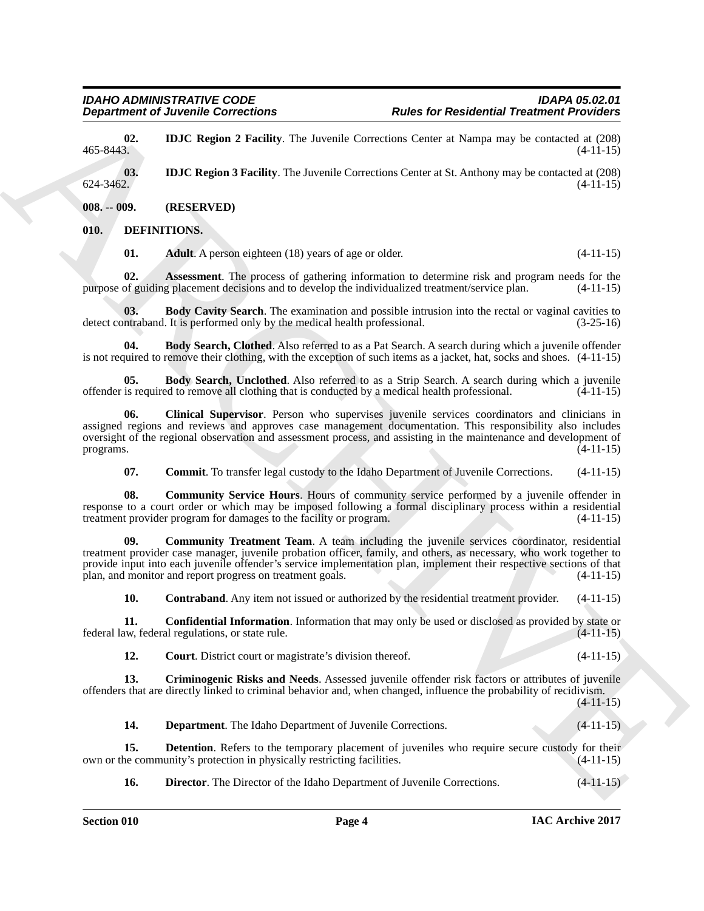<span id="page-3-19"></span>**02. IDJC Region 2 Facility**. The Juvenile Corrections Center at Nampa may be contacted at (208) 465-8443. **(4-11-15)** 465-8443. (4-11-15)

<span id="page-3-20"></span>**03. IDJC Region 3 Facility**. The Juvenile Corrections Center at St. Anthony may be contacted at (208) **624-3462. (4-11-15)**  $624-3462.$  (4-11-15)

<span id="page-3-0"></span>**008. -- 009. (RESERVED)**

#### <span id="page-3-1"></span>**010. DEFINITIONS.**

<span id="page-3-6"></span><span id="page-3-5"></span><span id="page-3-4"></span><span id="page-3-3"></span>**01. Adult**. A person eighteen (18) years of age or older. (4-11-15)

**02. Assessment**. The process of gathering information to determine risk and program needs for the of guiding placement decisions and to develop the individualized treatment/service plan. (4-11-15) purpose of guiding placement decisions and to develop the individualized treatment/service plan.

**03. Body Cavity Search**. The examination and possible intrusion into the rectal or vaginal cavities to ntraband. It is performed only by the medical health professional. (3-25-16) detect contraband. It is performed only by the medical health professional.

<span id="page-3-7"></span>**04. Body Search, Clothed**. Also referred to as a Pat Search. A search during which a juvenile offender is not required to remove their clothing, with the exception of such items as a jacket, hat, socks and shoes. (4-11-15)

<span id="page-3-8"></span>**05. Body Search, Unclothed**. Also referred to as a Strip Search. A search during which a juvenile is required to remove all clothing that is conducted by a medical health professional. (4-11-15) offender is required to remove all clothing that is conducted by a medical health professional.

**Department of Juvenile Connections**<br>
Archive for Residential Treatment of Poissie Connections<br>
4.65 ±112.<br>
4.85 ±112.<br>
4.82 ±12.<br>
4.82 ±12.<br>
4.82 ±12.<br>
4.82 ±12.<br>
4.82 ±12.<br>
4.82 ±12.<br>
4.82 ±12.<br>
4.82 ±12.<br>
4.82 ±12.<br>
4. **06. Clinical Supervisor**. Person who supervises juvenile services coordinators and clinicians in assigned regions and reviews and approves case management documentation. This responsibility also includes oversight of the regional observation and assessment process, and assisting in the maintenance and development of programs. (4-11-15) programs.  $(4-11-15)$ 

<span id="page-3-12"></span><span id="page-3-11"></span><span id="page-3-10"></span><span id="page-3-9"></span>**07. Commit**. To transfer legal custody to the Idaho Department of Juvenile Corrections. (4-11-15)

**08.** Community Service Hours. Hours of community service performed by a juvenile offender in response to a court order or which may be imposed following a formal disciplinary process within a residential treatment provider program for damages to the facility or program. (4-11-15) treatment provider program for damages to the facility or program.

**09. Community Treatment Team**. A team including the juvenile services coordinator, residential treatment provider case manager, juvenile probation officer, family, and others, as necessary, who work together to provide input into each juvenile offender's service implementation plan, implement their respective sections of that plan, and monitor and report progress on treatment goals. (4-11-15)

<span id="page-3-14"></span><span id="page-3-13"></span>**10. Contraband**. Any item not issued or authorized by the residential treatment provider. (4-11-15)

**11. Confidential Information**. Information that may only be used or disclosed as provided by state or w, federal regulations, or state rule. (4-11-15) federal law, federal regulations, or state rule.

<span id="page-3-15"></span><span id="page-3-2"></span>**12. Court**. District court or magistrate's division thereof. (4-11-15)

**13. Criminogenic Risks and Needs**. Assessed juvenile offender risk factors or attributes of juvenile offenders that are directly linked to criminal behavior and, when changed, influence the probability of recidivism.

 $(4-11-15)$ 

<span id="page-3-17"></span><span id="page-3-16"></span>**14. Department**. The Idaho Department of Juvenile Corrections. (4-11-15)

**15. Detention**. Refers to the temporary placement of juveniles who require secure custody for their ne community's protection in physically restricting facilities. (4-11-15) own or the community's protection in physically restricting facilities.

<span id="page-3-18"></span>**16. Director**. The Director of the Idaho Department of Juvenile Corrections. (4-11-15)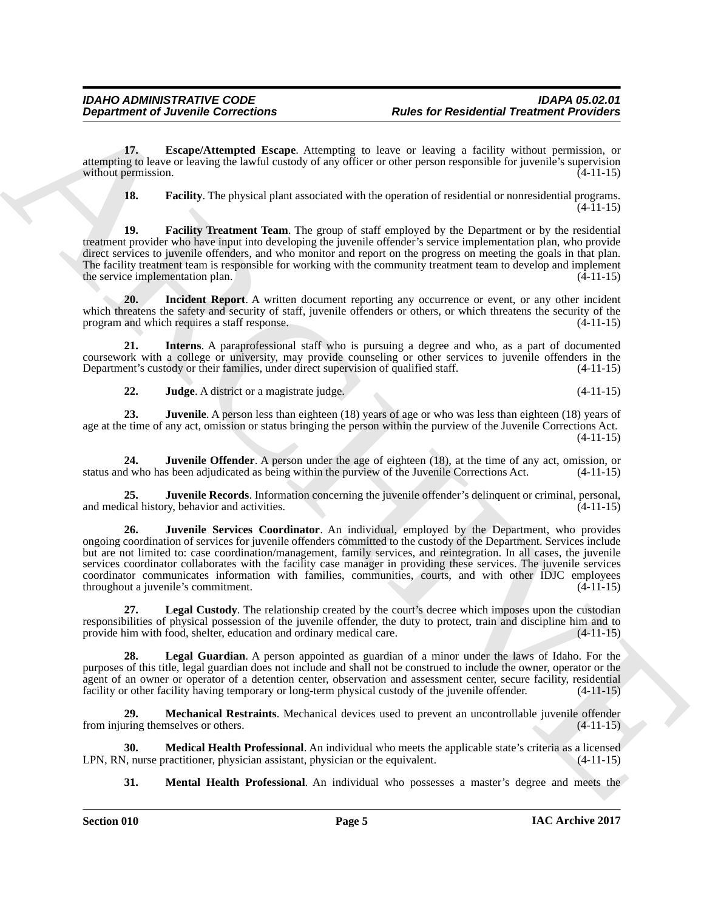**17. Escape/Attempted Escape**. Attempting to leave or leaving a facility without permission, or attempting to leave or leaving the lawful custody of any officer or other person responsible for juvenile's supervision without permission.

<span id="page-4-2"></span><span id="page-4-1"></span><span id="page-4-0"></span>**18. Facility**. The physical plant associated with the operation of residential or nonresidential programs.  $(4-11-15)$ 

**19. Facility Treatment Team**. The group of staff employed by the Department or by the residential treatment provider who have input into developing the juvenile offender's service implementation plan, who provide direct services to juvenile offenders, and who monitor and report on the progress on meeting the goals in that plan. The facility treatment team is responsible for working with the community treatment team to develop and implement the service implementation plan. (4-11-15) the service implementation plan.

<span id="page-4-3"></span>**20. Incident Report**. A written document reporting any occurrence or event, or any other incident which threatens the safety and security of staff, juvenile offenders or others, or which threatens the security of the program and which requires a staff response. (4-11-15) program and which requires a staff response.

**21. Interns**. A paraprofessional staff who is pursuing a degree and who, as a part of documented coursework with a college or university, may provide counseling or other services to juvenile offenders in the<br>Department's custody or their families, under direct supervision of qualified staff. (4-11-15) Department's custody or their families, under direct supervision of qualified staff.

<span id="page-4-7"></span><span id="page-4-6"></span><span id="page-4-5"></span><span id="page-4-4"></span>**22. Judge**. A district or a magistrate judge. (4-11-15)

**23. Juvenile**. A person less than eighteen (18) years of age or who was less than eighteen (18) years of age at the time of any act, omission or status bringing the person within the purview of the Juvenile Corrections Act. (4-11-15)

**24. Juvenile Offender**. A person under the age of eighteen (18), at the time of any act, omission, or status and who has been adjudicated as being within the purview of the Juvenile Corrections Act. (4-11-15)

<span id="page-4-9"></span><span id="page-4-8"></span>**25. Juvenile Records**. Information concerning the juvenile offender's delinquent or criminal, personal, ical history, behavior and activities. (4-11-15) and medical history, behavior and activities.

**Department of Juvenile Corrections**<br>
The for Residential Treatment is the state of Residential Treatment Providers<br>
The Correction of the state of the state of the state of the state of the state of the state of the stat **26. Juvenile Services Coordinator**. An individual, employed by the Department, who provides ongoing coordination of services for juvenile offenders committed to the custody of the Department. Services include but are not limited to: case coordination/management, family services, and reintegration. In all cases, the juvenile services coordinator collaborates with the facility case manager in providing these services. The juvenile services coordinator communicates information with families, communities, courts, and with other IDJC employees throughout a juvenile's commitment. (4-11-15) throughout a juvenile's commitment.

<span id="page-4-10"></span>**27. Legal Custody**. The relationship created by the court's decree which imposes upon the custodian responsibilities of physical possession of the juvenile offender, the duty to protect, train and discipline him and to provide him with food, shelter, education and ordinary medical care.  $(4-11-15)$ provide him with food, shelter, education and ordinary medical care.

<span id="page-4-11"></span>**28. Legal Guardian**. A person appointed as guardian of a minor under the laws of Idaho. For the purposes of this title, legal guardian does not include and shall not be construed to include the owner, operator or the agent of an owner or operator of a detention center, observation and assessment center, secure facility, residential facility or other facility having temporary or long-term physical custody of the juvenile offender. (4-11-15)

<span id="page-4-12"></span>**29. Mechanical Restraints**. Mechanical devices used to prevent an uncontrollable juvenile offender from injuring themselves or others. (4-11-15)

**30. Medical Health Professional**. An individual who meets the applicable state's criteria as a licensed  $\lambda$ , nurse practitioner, physician assistant, physician or the equivalent. (4-11-15) LPN, RN, nurse practitioner, physician assistant, physician or the equivalent.

<span id="page-4-14"></span><span id="page-4-13"></span>**31. Mental Health Professional**. An individual who possesses a master's degree and meets the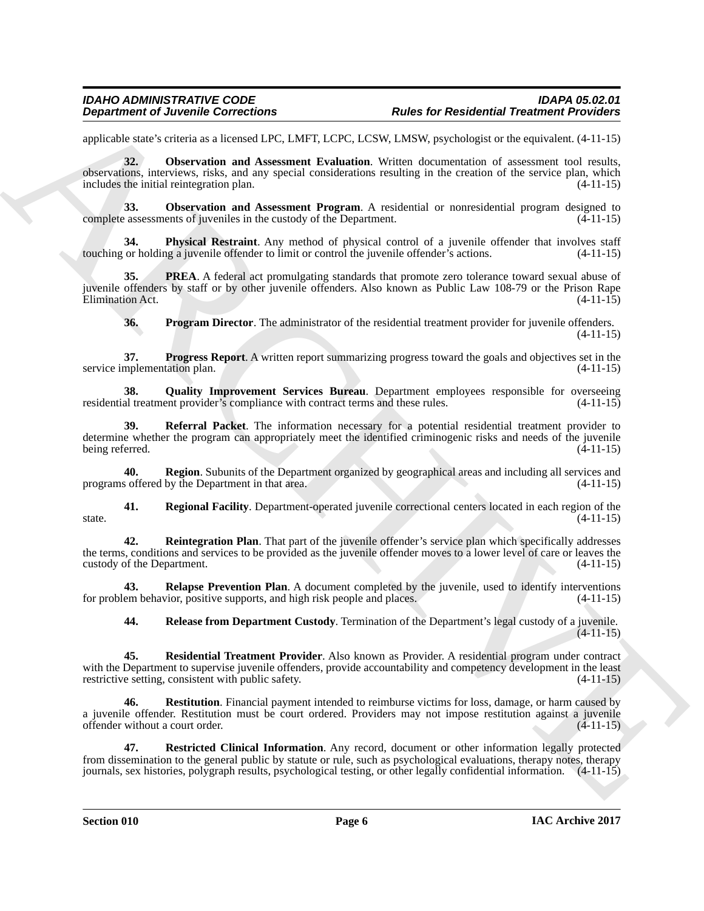<span id="page-5-0"></span>applicable state's criteria as a licensed LPC, LMFT, LCPC, LCSW, LMSW, psychologist or the equivalent. (4-11-15)

**Department of Juvenile Connections**<br> **Conservation** Connections<br>
supported the United States (Victor LCVC LCVC LCVC ICSV, White the proposition of the controlled China<br>
supported States (Victor LCVC ICSV) (Victor Action **32. Observation and Assessment Evaluation**. Written documentation of assessment tool results, observations, interviews, risks, and any special considerations resulting in the creation of the service plan, which includes the initial reintegration plan. (4-11-15)

<span id="page-5-1"></span>**33.** Observation and Assessment Program. A residential or nonresidential program designed to complete assessments of juveniles in the custody of the Department. (4-11-15)

<span id="page-5-2"></span>**34. Physical Restraint**. Any method of physical control of a juvenile offender that involves staff touching or holding a juvenile offender to limit or control the juvenile offender's actions. (4-11-15)

**35. PREA**. A federal act promulgating standards that promote zero tolerance toward sexual abuse of juvenile offenders by staff or by other juvenile offenders. Also known as Public Law 108-79 or the Prison Rape Elimination Act. (4-11-15)

<span id="page-5-6"></span><span id="page-5-5"></span><span id="page-5-4"></span><span id="page-5-3"></span>**36. Program Director**. The administrator of the residential treatment provider for juvenile offenders. (4-11-15)

**37. Progress Report**. A written report summarizing progress toward the goals and objectives set in the service implementation plan.

**38. Quality Improvement Services Bureau**. Department employees responsible for overseeing al treatment provider's compliance with contract terms and these rules. (4-11-15) residential treatment provider's compliance with contract terms and these rules.

<span id="page-5-7"></span>**39. Referral Packet**. The information necessary for a potential residential treatment provider to determine whether the program can appropriately meet the identified criminogenic risks and needs of the juvenile being referred. (4-11-15)

<span id="page-5-8"></span>**40. Region**. Subunits of the Department organized by geographical areas and including all services and programs offered by the Department in that area.

<span id="page-5-9"></span>**41. Regional Facility**. Department-operated juvenile correctional centers located in each region of the state.  $(4-11-15)$ 

<span id="page-5-10"></span>**42. Reintegration Plan**. That part of the juvenile offender's service plan which specifically addresses the terms, conditions and services to be provided as the juvenile offender moves to a lower level of care or leaves the custody of the Department. (4-11-15)

**43. Relapse Prevention Plan**. A document completed by the juvenile, used to identify interventions em behavior, positive supports, and high risk people and places. (4-11-15) for problem behavior, positive supports, and high risk people and places.

<span id="page-5-14"></span><span id="page-5-13"></span><span id="page-5-12"></span><span id="page-5-11"></span>**44. Release from Department Custody**. Termination of the Department's legal custody of a juvenile.  $(4-11-15)$ 

**45. Residential Treatment Provider**. Also known as Provider. A residential program under contract with the Department to supervise juvenile offenders, provide accountability and competency development in the least restrictive setting, consistent with public safety. (4-11-15)

**46. Restitution**. Financial payment intended to reimburse victims for loss, damage, or harm caused by a juvenile offender. Restitution must be court ordered. Providers may not impose restitution against a juvenile offender without a court order. (4-11-15)

<span id="page-5-15"></span>**47. Restricted Clinical Information**. Any record, document or other information legally protected from dissemination to the general public by statute or rule, such as psychological evaluations, therapy notes, therapy journals, sex histories, polygraph results, psychological testing, or other legally confidential information. (4-11-15)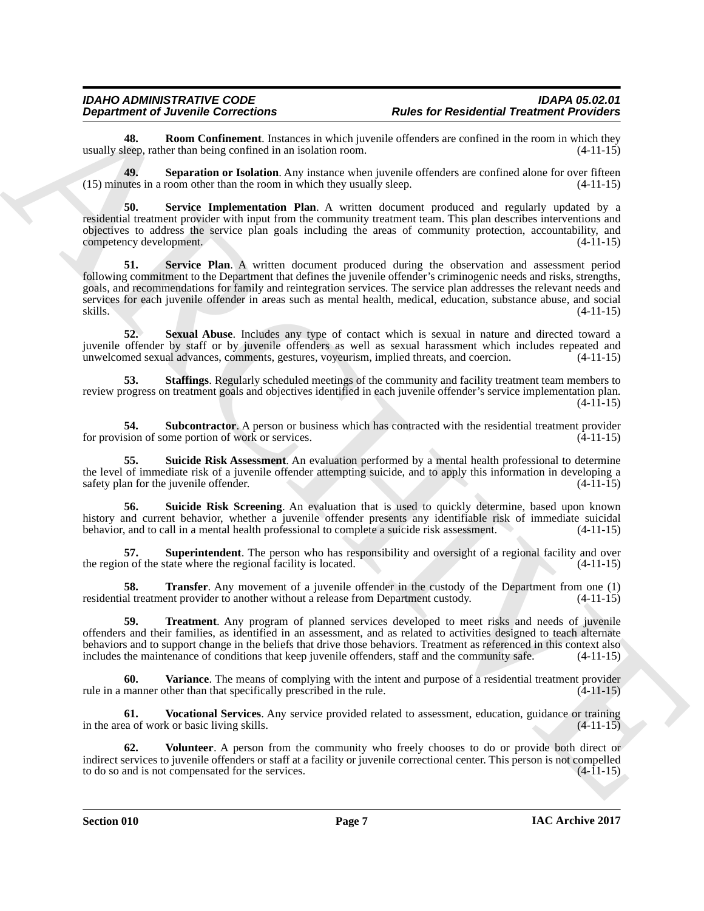<span id="page-6-0"></span>**48. Room Confinement**. Instances in which juvenile offenders are confined in the room in which they leep, rather than being confined in an isolation room. (4-11-15) usually sleep, rather than being confined in an isolation room.

<span id="page-6-1"></span>**49. Separation or Isolation**. Any instance when juvenile offenders are confined alone for over fifteen (15) minutes in a room other than the room in which they usually sleep. (4-11-15)

<span id="page-6-3"></span><span id="page-6-2"></span>**50. Service Implementation Plan**. A written document produced and regularly updated by a residential treatment provider with input from the community treatment team. This plan describes interventions and objectives to address the service plan goals including the areas of community protection, accountability, and competency development. (4-11-15)

**Equivalent of Decomposition** (**a Example 16 Consider the Constraint Constraint Constraint Constraint Constraint Constraint Constraint Constraint Constraint Constraint Constraint Constraint Constraint Constraint Const 51. Service Plan**. A written document produced during the observation and assessment period following commitment to the Department that defines the juvenile offender's criminogenic needs and risks, strengths, goals, and recommendations for family and reintegration services. The service plan addresses the relevant needs and services for each juvenile offender in areas such as mental health, medical, education, substance abuse, and social  $s$ kills. (4-11-15)

<span id="page-6-4"></span>**52. Sexual Abuse**. Includes any type of contact which is sexual in nature and directed toward a juvenile offender by staff or by juvenile offenders as well as sexual harassment which includes repeated and unwelcomed sexual advances, comments, gestures, voyeurism, implied threats, and coercion. (4-11-15)

<span id="page-6-5"></span>**53. Staffings**. Regularly scheduled meetings of the community and facility treatment team members to review progress on treatment goals and objectives identified in each juvenile offender's service implementation plan.  $(4-11-15)$ 

<span id="page-6-6"></span>**54.** Subcontractor. A person or business which has contracted with the residential treatment provider sion of some portion of work or services.  $(4-11-15)$ for provision of some portion of work or services.

<span id="page-6-7"></span>**55. Suicide Risk Assessment**. An evaluation performed by a mental health professional to determine the level of immediate risk of a juvenile offender attempting suicide, and to apply this information in developing a safety plan for the invenile offender. (4-11-15) safety plan for the juvenile offender.

<span id="page-6-8"></span>**Suicide Risk Screening**. An evaluation that is used to quickly determine, based upon known history and current behavior, whether a juvenile offender presents any identifiable risk of immediate suicidal behavior, and to call in a mental health professional to complete a suicide risk assessment. (4-11-15)

<span id="page-6-9"></span>**57. Superintendent**. The person who has responsibility and oversight of a regional facility and over n of the state where the regional facility is located. (4-11-15) the region of the state where the regional facility is located.

<span id="page-6-10"></span>**58. Transfer**. Any movement of a juvenile offender in the custody of the Department from one (1) al treatment provider to another without a release from Department custody. (4-11-15) residential treatment provider to another without a release from Department custody.

<span id="page-6-11"></span>**59. Treatment**. Any program of planned services developed to meet risks and needs of juvenile offenders and their families, as identified in an assessment, and as related to activities designed to teach alternate behaviors and to support change in the beliefs that drive those behaviors. Treatment as referenced in this context also includes the maintenance of conditions that keep juvenile offenders, staff and the community safe. (4includes the maintenance of conditions that keep juvenile offenders, staff and the community safe.

<span id="page-6-12"></span>**Variance**. The means of complying with the intent and purpose of a residential treatment provider rule in a manner other than that specifically prescribed in the rule. (4-11-15)

<span id="page-6-13"></span>**61. Vocational Services**. Any service provided related to assessment, education, guidance or training in the area of work or basic living skills. (4-11-15)

<span id="page-6-14"></span>**62. Volunteer**. A person from the community who freely chooses to do or provide both direct or indirect services to juvenile offenders or staff at a facility or juvenile correctional center. This person is not compelled to do so and is not compensated for the services. (4-11-15) to do so and is not compensated for the services.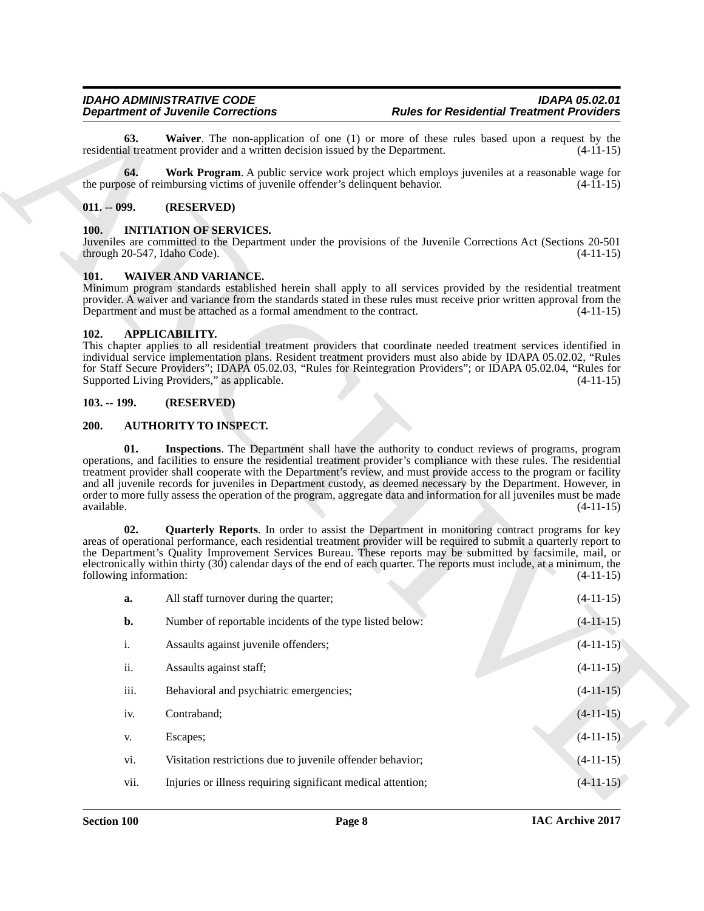#### <span id="page-7-11"></span><span id="page-7-10"></span><span id="page-7-0"></span>**011. -- 099. (RESERVED)**

#### <span id="page-7-12"></span><span id="page-7-1"></span>**100. INITIATION OF SERVICES.**

#### <span id="page-7-13"></span><span id="page-7-2"></span>**101. WAIVER AND VARIANCE.**

#### <span id="page-7-6"></span><span id="page-7-3"></span>**102. APPLICABILITY.**

#### <span id="page-7-4"></span>**103. -- 199. (RESERVED)**

#### <span id="page-7-9"></span><span id="page-7-8"></span><span id="page-7-7"></span><span id="page-7-5"></span>**200. AUTHORITY TO INSPECT.**

|                               | <b>Department of Juvenile Corrections</b>                                                             | <b>Rules for Residential Treatment Providers</b>                                                                                                                                                                                                                                                                                                                                                                                                                                                                                                                                            |  |
|-------------------------------|-------------------------------------------------------------------------------------------------------|---------------------------------------------------------------------------------------------------------------------------------------------------------------------------------------------------------------------------------------------------------------------------------------------------------------------------------------------------------------------------------------------------------------------------------------------------------------------------------------------------------------------------------------------------------------------------------------------|--|
| 63.                           | residential treatment provider and a written decision issued by the Department.                       | Waiver. The non-application of one (1) or more of these rules based upon a request by the<br>$(4-11-15)$                                                                                                                                                                                                                                                                                                                                                                                                                                                                                    |  |
| 64.                           | the purpose of reimbursing victims of juvenile offender's delinquent behavior.                        | Work Program. A public service work project which employs juveniles at a reasonable wage for<br>$(4-11-15)$                                                                                                                                                                                                                                                                                                                                                                                                                                                                                 |  |
| $011. - 099.$                 | (RESERVED)                                                                                            |                                                                                                                                                                                                                                                                                                                                                                                                                                                                                                                                                                                             |  |
| <b>100.</b>                   | <b>INITIATION OF SERVICES.</b><br>through 20-547, Idaho Code).                                        | Juveniles are committed to the Department under the provisions of the Juvenile Corrections Act (Sections 20-501<br>$(4-11-15)$                                                                                                                                                                                                                                                                                                                                                                                                                                                              |  |
| 101.                          | <b>WAIVER AND VARIANCE.</b><br>Department and must be attached as a formal amendment to the contract. | Minimum program standards established herein shall apply to all services provided by the residential treatment<br>provider. A waiver and variance from the standards stated in these rules must receive prior written approval from the<br>$(4-11-15)$                                                                                                                                                                                                                                                                                                                                      |  |
| 102.                          | <b>APPLICABILITY.</b><br>Supported Living Providers," as applicable.                                  | This chapter applies to all residential treatment providers that coordinate needed treatment services identified in<br>individual service implementation plans. Resident treatment providers must also abide by IDAPA 05.02.02, "Rules<br>for Staff Secure Providers"; IDAPA 05.02.03, "Rules for Reintegration Providers"; or IDAPA 05.02.04, "Rules for<br>$(4-11-15)$                                                                                                                                                                                                                    |  |
| $103. - 199.$                 | (RESERVED)                                                                                            |                                                                                                                                                                                                                                                                                                                                                                                                                                                                                                                                                                                             |  |
| 200.                          | <b>AUTHORITY TO INSPECT.</b>                                                                          |                                                                                                                                                                                                                                                                                                                                                                                                                                                                                                                                                                                             |  |
| 01.                           |                                                                                                       | Inspections. The Department shall have the authority to conduct reviews of programs, program<br>operations, and facilities to ensure the residential treatment provider's compliance with these rules. The residential<br>treatment provider shall cooperate with the Department's review, and must provide access to the program or facility<br>and all juvenile records for juveniles in Department custody, as deemed necessary by the Department. However, in<br>order to more fully assess the operation of the program, aggregate data and information for all juveniles must be made |  |
| available.                    |                                                                                                       | $(4-11-15)$                                                                                                                                                                                                                                                                                                                                                                                                                                                                                                                                                                                 |  |
| 02.<br>following information: |                                                                                                       | <b>Quarterly Reports.</b> In order to assist the Department in monitoring contract programs for key<br>areas of operational performance, each residential treatment provider will be required to submit a quarterly report to<br>the Department's Quality Improvement Services Bureau. These reports may be submitted by facsimile, mail, or<br>electronically within thirty $(30)$ calendar days of the end of each quarter. The reports must include, at a minimum, the<br>$(4-11-15)$                                                                                                    |  |
| a.                            | All staff turnover during the quarter;                                                                | $(4-11-15)$                                                                                                                                                                                                                                                                                                                                                                                                                                                                                                                                                                                 |  |
| b.                            | Number of reportable incidents of the type listed below:                                              | $(4-11-15)$                                                                                                                                                                                                                                                                                                                                                                                                                                                                                                                                                                                 |  |
| $i$ .                         | Assaults against juvenile offenders;                                                                  | $(4-11-15)$                                                                                                                                                                                                                                                                                                                                                                                                                                                                                                                                                                                 |  |
| ii.                           | Assaults against staff;                                                                               | $(4-11-15)$                                                                                                                                                                                                                                                                                                                                                                                                                                                                                                                                                                                 |  |
| iii.                          | Behavioral and psychiatric emergencies;                                                               | $(4-11-15)$                                                                                                                                                                                                                                                                                                                                                                                                                                                                                                                                                                                 |  |
| iv.                           | Contraband;                                                                                           | $(4-11-15)$                                                                                                                                                                                                                                                                                                                                                                                                                                                                                                                                                                                 |  |
| V.                            | Escapes;                                                                                              | $(4-11-15)$                                                                                                                                                                                                                                                                                                                                                                                                                                                                                                                                                                                 |  |
| vi.                           | Visitation restrictions due to juvenile offender behavior;                                            | $(4-11-15)$                                                                                                                                                                                                                                                                                                                                                                                                                                                                                                                                                                                 |  |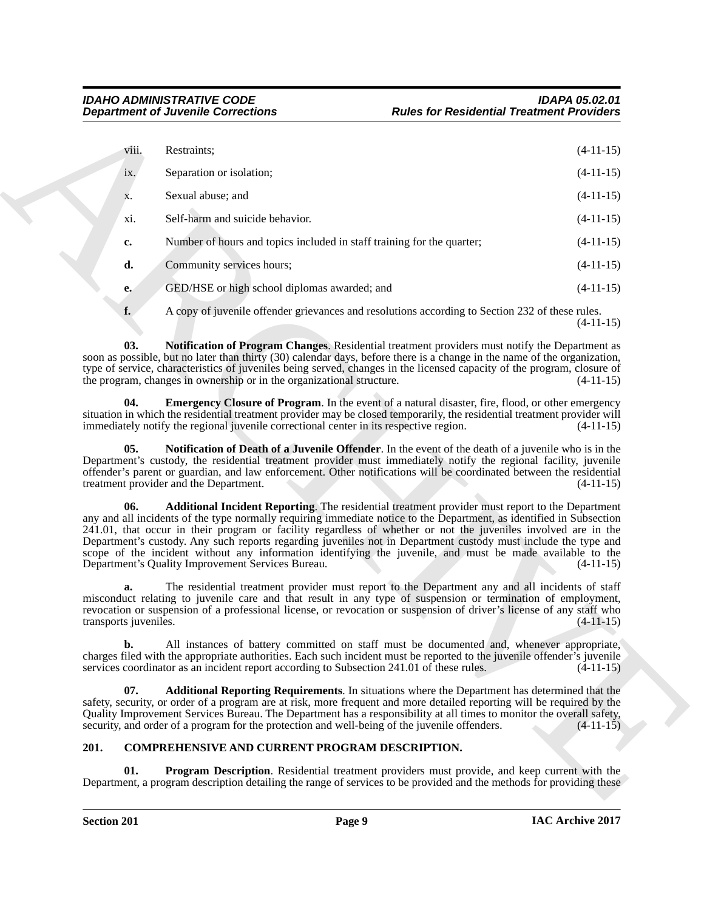<span id="page-8-5"></span><span id="page-8-3"></span>

|                                     | <b>Department of Juvenile Corrections</b>                                                                                                                                                                                                                                                                                                                                                                                                                                                                                  | <b>Rules for Residential Treatment Providers</b>                                                            |             |
|-------------------------------------|----------------------------------------------------------------------------------------------------------------------------------------------------------------------------------------------------------------------------------------------------------------------------------------------------------------------------------------------------------------------------------------------------------------------------------------------------------------------------------------------------------------------------|-------------------------------------------------------------------------------------------------------------|-------------|
| viii.                               | Restraints;                                                                                                                                                                                                                                                                                                                                                                                                                                                                                                                |                                                                                                             | $(4-11-15)$ |
| ix.                                 | Separation or isolation;                                                                                                                                                                                                                                                                                                                                                                                                                                                                                                   |                                                                                                             | $(4-11-15)$ |
| X.                                  | Sexual abuse; and                                                                                                                                                                                                                                                                                                                                                                                                                                                                                                          |                                                                                                             | $(4-11-15)$ |
| xi.                                 | Self-harm and suicide behavior.                                                                                                                                                                                                                                                                                                                                                                                                                                                                                            |                                                                                                             | $(4-11-15)$ |
| c.                                  | Number of hours and topics included in staff training for the quarter;                                                                                                                                                                                                                                                                                                                                                                                                                                                     |                                                                                                             | $(4-11-15)$ |
| d.                                  | Community services hours;                                                                                                                                                                                                                                                                                                                                                                                                                                                                                                  |                                                                                                             | $(4-11-15)$ |
| e.                                  | GED/HSE or high school diplomas awarded; and                                                                                                                                                                                                                                                                                                                                                                                                                                                                               |                                                                                                             | $(4-11-15)$ |
| f.                                  |                                                                                                                                                                                                                                                                                                                                                                                                                                                                                                                            | A copy of juvenile offender grievances and resolutions according to Section 232 of these rules.             | $(4-11-15)$ |
| 03.                                 | soon as possible, but no later than thirty (30) calendar days, before there is a change in the name of the organization,<br>type of service, characteristics of juveniles being served, changes in the licensed capacity of the program, closure of<br>the program, changes in ownership or in the organizational structure.                                                                                                                                                                                               | Notification of Program Changes. Residential treatment providers must notify the Department as              | $(4-11-15)$ |
| 04.                                 | situation in which the residential treatment provider may be closed temporarily, the residential treatment provider will<br>immediately notify the regional juvenile correctional center in its respective region.                                                                                                                                                                                                                                                                                                         | <b>Emergency Closure of Program.</b> In the event of a natural disaster, fire, flood, or other emergency    | $(4-11-15)$ |
| 05.                                 | Department's custody, the residential treatment provider must immediately notify the regional facility, juvenile<br>offender's parent or guardian, and law enforcement. Other notifications will be coordinated between the residential<br>treatment provider and the Department.                                                                                                                                                                                                                                          | <b>Notification of Death of a Juvenile Offender</b> . In the event of the death of a juvenile who is in the | $(4-11-15)$ |
| 06.                                 | any and all incidents of the type normally requiring immediate notice to the Department, as identified in Subsection<br>241.01, that occur in their program or facility regardless of whether or not the juveniles involved are in the<br>Department's custody. Any such reports regarding juveniles not in Department custody must include the type and<br>scope of the incident without any information identifying the juvenile, and must be made available to the<br>Department's Quality Improvement Services Bureau. | Additional Incident Reporting. The residential treatment provider must report to the Department             | $(4-11-15)$ |
| a.<br>transports <i>juveniles</i> . | misconduct relating to juvenile care and that result in any type of suspension or termination of employment,<br>revocation or suspension of a professional license, or revocation or suspension of driver's license of any staff who                                                                                                                                                                                                                                                                                       | The residential treatment provider must report to the Department any and all incidents of staff             | $(4-11-15)$ |
| b.                                  | charges filed with the appropriate authorities. Each such incident must be reported to the juvenile offender's juvenile<br>services coordinator as an incident report according to Subsection 241.01 of these rules.                                                                                                                                                                                                                                                                                                       | All instances of battery committed on staff must be documented and, whenever appropriate,                   | $(4-11-15)$ |
| 07.                                 | safety, security, or order of a program are at risk, more frequent and more detailed reporting will be required by the<br>Quality Improvement Services Bureau. The Department has a responsibility at all times to monitor the overall safety,<br>security, and order of a program for the protection and well-being of the juvenile offenders.                                                                                                                                                                            | <b>Additional Reporting Requirements.</b> In situations where the Department has determined that the        | $(4-11-15)$ |
| 201.                                | COMPREHENSIVE AND CURRENT PROGRAM DESCRIPTION.                                                                                                                                                                                                                                                                                                                                                                                                                                                                             |                                                                                                             |             |
|                                     | Program Description. Residential treatment providers must provide, and keep current with the                                                                                                                                                                                                                                                                                                                                                                                                                               |                                                                                                             |             |

#### <span id="page-8-7"></span><span id="page-8-6"></span><span id="page-8-4"></span><span id="page-8-2"></span><span id="page-8-1"></span><span id="page-8-0"></span>**201. COMPREHENSIVE AND CURRENT PROGRAM DESCRIPTION.**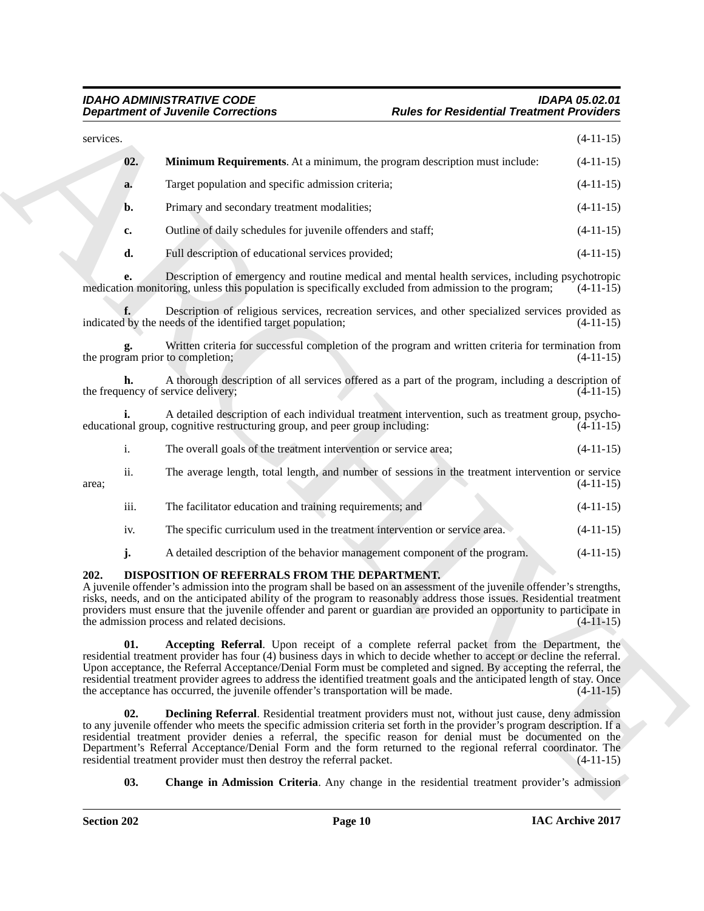#### <span id="page-9-5"></span><span id="page-9-4"></span><span id="page-9-3"></span><span id="page-9-2"></span><span id="page-9-1"></span>*IDAHO ADMINISTRATIVE CODE IDAPA 05.02.01* **Rules for Residential Treatment Providers**

<span id="page-9-0"></span>

|                | <b>Department of Juvenile Corrections</b>                                                                                                                                                                                                                                                                                                                                                                                                                                                                                                                       | <b>Rules for Residential Treatment Providers</b> |
|----------------|-----------------------------------------------------------------------------------------------------------------------------------------------------------------------------------------------------------------------------------------------------------------------------------------------------------------------------------------------------------------------------------------------------------------------------------------------------------------------------------------------------------------------------------------------------------------|--------------------------------------------------|
| services.      |                                                                                                                                                                                                                                                                                                                                                                                                                                                                                                                                                                 | $(4-11-15)$                                      |
| 02.            | <b>Minimum Requirements.</b> At a minimum, the program description must include:                                                                                                                                                                                                                                                                                                                                                                                                                                                                                | $(4-11-15)$                                      |
| a.             | Target population and specific admission criteria;                                                                                                                                                                                                                                                                                                                                                                                                                                                                                                              | $(4-11-15)$                                      |
| b.             | Primary and secondary treatment modalities;                                                                                                                                                                                                                                                                                                                                                                                                                                                                                                                     | $(4-11-15)$                                      |
| c.             | Outline of daily schedules for juvenile offenders and staff;                                                                                                                                                                                                                                                                                                                                                                                                                                                                                                    | $(4-11-15)$                                      |
| d.             | Full description of educational services provided;                                                                                                                                                                                                                                                                                                                                                                                                                                                                                                              | $(4-11-15)$                                      |
| e.             | Description of emergency and routine medical and mental health services, including psychotropic<br>medication monitoring, unless this population is specifically excluded from admission to the program;                                                                                                                                                                                                                                                                                                                                                        | $(4-11-15)$                                      |
|                | Description of religious services, recreation services, and other specialized services provided as<br>indicated by the needs of the identified target population;                                                                                                                                                                                                                                                                                                                                                                                               | $(4-11-15)$                                      |
|                | Written criteria for successful completion of the program and written criteria for termination from<br>the program prior to completion;                                                                                                                                                                                                                                                                                                                                                                                                                         | $(4-11-15)$                                      |
|                | A thorough description of all services offered as a part of the program, including a description of<br>the frequency of service delivery;                                                                                                                                                                                                                                                                                                                                                                                                                       | $(4-11-15)$                                      |
|                | A detailed description of each individual treatment intervention, such as treatment group, psycho-<br>educational group, cognitive restructuring group, and peer group including:                                                                                                                                                                                                                                                                                                                                                                               | $(4-11-15)$                                      |
| $\mathbf{i}$ . | The overall goals of the treatment intervention or service area;                                                                                                                                                                                                                                                                                                                                                                                                                                                                                                | $(4-11-15)$                                      |
| ii.<br>area;   | The average length, total length, and number of sessions in the treatment intervention or service                                                                                                                                                                                                                                                                                                                                                                                                                                                               | $(4-11-15)$                                      |
| iii.           | The facilitator education and training requirements; and                                                                                                                                                                                                                                                                                                                                                                                                                                                                                                        | $(4-11-15)$                                      |
| iv.            | The specific curriculum used in the treatment intervention or service area.                                                                                                                                                                                                                                                                                                                                                                                                                                                                                     | $(4-11-15)$                                      |
| j.             | A detailed description of the behavior management component of the program.                                                                                                                                                                                                                                                                                                                                                                                                                                                                                     | $(4-11-15)$                                      |
| 202.           | DISPOSITION OF REFERRALS FROM THE DEPARTMENT.<br>A juvenile offender's admission into the program shall be based on an assessment of the juvenile offender's strengths,<br>risks, needs, and on the anticipated ability of the program to reasonably address those issues. Residential treatment<br>providers must ensure that the juvenile offender and parent or guardian are provided an opportunity to participate in<br>the admission process and related decisions.                                                                                       | $(4-11-15)$                                      |
| 01.            | <b>Accepting Referral.</b> Upon receipt of a complete referral packet from the Department, the<br>residential treatment provider has four (4) business days in which to decide whether to accept or decline the referral.<br>Upon acceptance, the Referral Acceptance/Denial Form must be completed and signed. By accepting the referral, the<br>residential treatment provider agrees to address the identified treatment goals and the anticipated length of stay. Once<br>the acceptance has occurred, the juvenile offender's transportation will be made. | $(4-11-15)$                                      |
| 02.            | <b>Declining Referral</b> . Residential treatment providers must not, without just cause, deny admission<br>to any juvenile offender who meets the specific admission criteria set forth in the provider's program description. If a<br>residential treatment provider denies a referral, the specific reason for denial must be documented on the<br>Department's Referral Acceptance/Denial Form and the form returned to the regional referral coordinator. The<br>residential treatment provider must then destroy the referral packet.                     | $(4-11-15)$                                      |
| 03.            | <b>Change in Admission Criteria.</b> Any change in the residential treatment provider's admission                                                                                                                                                                                                                                                                                                                                                                                                                                                               |                                                  |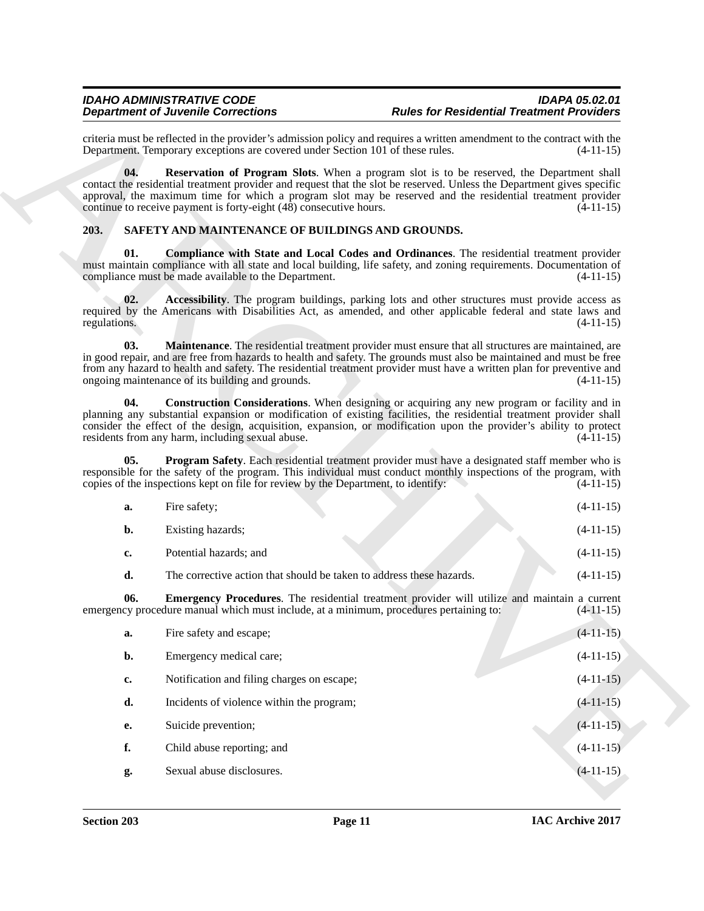#### <span id="page-10-8"></span><span id="page-10-7"></span><span id="page-10-6"></span><span id="page-10-5"></span><span id="page-10-4"></span><span id="page-10-3"></span><span id="page-10-2"></span><span id="page-10-1"></span><span id="page-10-0"></span>**203. SAFETY AND MAINTENANCE OF BUILDINGS AND GROUNDS.**

|                     | <b>Department of Juvenile Corrections</b>                                              | <b>Rules for Residential Treatment Providers</b>                                                                                                                                                                                                                                                                                                    |             |
|---------------------|----------------------------------------------------------------------------------------|-----------------------------------------------------------------------------------------------------------------------------------------------------------------------------------------------------------------------------------------------------------------------------------------------------------------------------------------------------|-------------|
|                     | Department. Temporary exceptions are covered under Section 101 of these rules.         | criteria must be reflected in the provider's admission policy and requires a written amendment to the contract with the                                                                                                                                                                                                                             | $(4-11-15)$ |
| 04.                 | continue to receive payment is forty-eight (48) consecutive hours.                     | Reservation of Program Slots. When a program slot is to be reserved, the Department shall<br>contact the residential treatment provider and request that the slot be reserved. Unless the Department gives specific<br>approval, the maximum time for which a program slot may be reserved and the residential treatment provider                   | $(4-11-15)$ |
| 203.                | SAFETY AND MAINTENANCE OF BUILDINGS AND GROUNDS.                                       |                                                                                                                                                                                                                                                                                                                                                     |             |
| 01.                 | compliance must be made available to the Department.                                   | Compliance with State and Local Codes and Ordinances. The residential treatment provider<br>must maintain compliance with all state and local building, life safety, and zoning requirements. Documentation of                                                                                                                                      | $(4-11-15)$ |
| 02.<br>regulations. |                                                                                        | Accessibility. The program buildings, parking lots and other structures must provide access as<br>required by the Americans with Disabilities Act, as amended, and other applicable federal and state laws and                                                                                                                                      | $(4-11-15)$ |
| 03.                 | ongoing maintenance of its building and grounds.                                       | Maintenance. The residential treatment provider must ensure that all structures are maintained, are<br>in good repair, and are free from hazards to health and safety. The grounds must also be maintained and must be free<br>from any hazard to health and safety. The residential treatment provider must have a written plan for preventive and | $(4-11-15)$ |
| 04.                 | residents from any harm, including sexual abuse.                                       | <b>Construction Considerations.</b> When designing or acquiring any new program or facility and in<br>planning any substantial expansion or modification of existing facilities, the residential treatment provider shall<br>consider the effect of the design, acquisition, expansion, or modification upon the provider's ability to protect      | $(4-11-15)$ |
| 05.                 | copies of the inspections kept on file for review by the Department, to identify:      | Program Safety. Each residential treatment provider must have a designated staff member who is<br>responsible for the safety of the program. This individual must conduct monthly inspections of the program, with                                                                                                                                  | $(4-11-15)$ |
| a.                  | Fire safety;                                                                           |                                                                                                                                                                                                                                                                                                                                                     | $(4-11-15)$ |
| b.                  | Existing hazards;                                                                      |                                                                                                                                                                                                                                                                                                                                                     | $(4-11-15)$ |
| c.                  | Potential hazards; and                                                                 |                                                                                                                                                                                                                                                                                                                                                     | $(4-11-15)$ |
| d.                  | The corrective action that should be taken to address these hazards.                   |                                                                                                                                                                                                                                                                                                                                                     | $(4-11-15)$ |
| 06.                 | emergency procedure manual which must include, at a minimum, procedures pertaining to: | <b>Emergency Procedures</b> . The residential treatment provider will utilize and maintain a current                                                                                                                                                                                                                                                | $(4-11-15)$ |
| a.                  | Fire safety and escape;                                                                |                                                                                                                                                                                                                                                                                                                                                     | $(4-11-15)$ |
| b.                  | Emergency medical care;                                                                |                                                                                                                                                                                                                                                                                                                                                     | $(4-11-15)$ |
| c.                  | Notification and filing charges on escape;                                             |                                                                                                                                                                                                                                                                                                                                                     | $(4-11-15)$ |
| d.                  | Incidents of violence within the program;                                              |                                                                                                                                                                                                                                                                                                                                                     | $(4-11-15)$ |
| <b>e.</b>           | Suicide prevention;                                                                    |                                                                                                                                                                                                                                                                                                                                                     | $(4-11-15)$ |
| f.                  | Child abuse reporting; and                                                             |                                                                                                                                                                                                                                                                                                                                                     | $(4-11-15)$ |
|                     |                                                                                        |                                                                                                                                                                                                                                                                                                                                                     |             |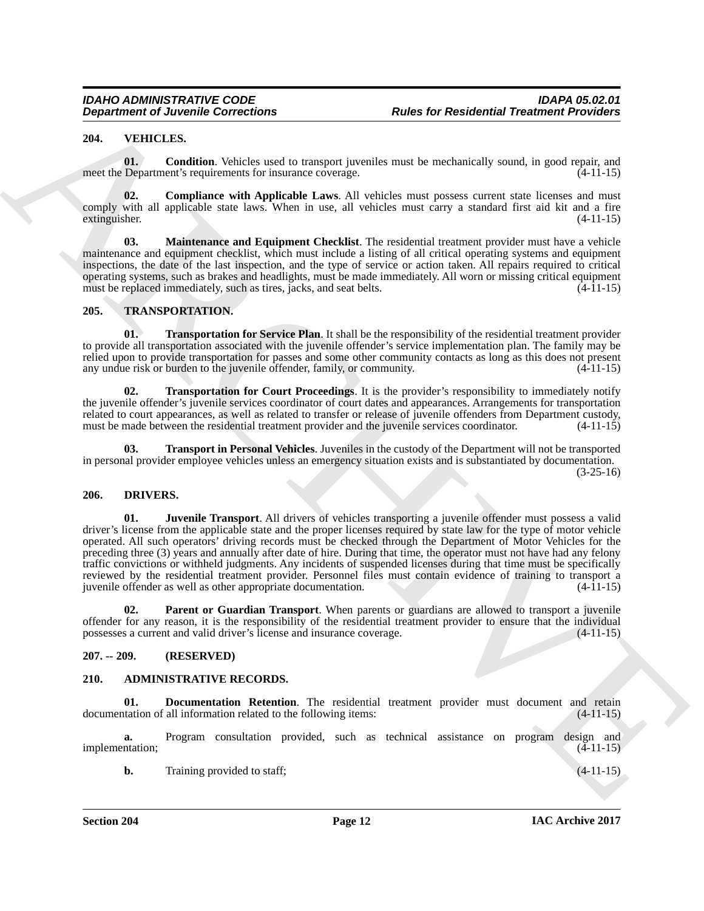#### <span id="page-11-14"></span><span id="page-11-0"></span>**204. VEHICLES.**

<span id="page-11-16"></span>**01. Condition**. Vehicles used to transport juveniles must be mechanically sound, in good repair, and meet the Department's requirements for insurance coverage. (4-11-15)

<span id="page-11-15"></span>**02. Compliance with Applicable Laws**. All vehicles must possess current state licenses and must comply with all applicable state laws. When in use, all vehicles must carry a standard first aid kit and a fire extinguisher. (4-11-15) extinguisher. (4-11-15)

<span id="page-11-17"></span>**03. Maintenance and Equipment Checklist**. The residential treatment provider must have a vehicle maintenance and equipment checklist, which must include a listing of all critical operating systems and equipment inspections, the date of the last inspection, and the type of service or action taken. All repairs required to critical operating systems, such as brakes and headlights, must be made immediately. All worn or missing critical equipment must be replaced immediately, such as tires, jacks, and seat belts. (4-11-15)

#### <span id="page-11-10"></span><span id="page-11-1"></span>**205. TRANSPORTATION.**

<span id="page-11-13"></span>**01. Transportation for Service Plan**. It shall be the responsibility of the residential treatment provider to provide all transportation associated with the juvenile offender's service implementation plan. The family may be relied upon to provide transportation for passes and some other community contacts as long as this does not present any undue risk or burden to the juvenile offender, family, or community.  $(4-11-15)$ any undue risk or burden to the juvenile offender, family, or community.

<span id="page-11-12"></span>**02. Transportation for Court Proceedings**. It is the provider's responsibility to immediately notify the juvenile offender's juvenile services coordinator of court dates and appearances. Arrangements for transportation related to court appearances, as well as related to transfer or release of juvenile offenders from Department custody, must be made between the residential treatment provider and the juvenile services coordinator. (4-11-15 must be made between the residential treatment provider and the juvenile services coordinator.

<span id="page-11-11"></span>**Transport in Personal Vehicles**. Juveniles in the custody of the Department will not be transported in personal provider employee vehicles unless an emergency situation exists and is substantiated by documentation.

 $(3-25-16)$ 

#### <span id="page-11-8"></span><span id="page-11-7"></span><span id="page-11-2"></span>**206. DRIVERS.**

**Department of Juvenile Conventions**<br> **Route for Residential Treatment Providers**<br> **PALATELATIVE CONVENTIFIED CONVENTIFIED CONVENTIFIED CONVENTIFIED CONVENTIFIED CONVENTIFIED CONVENTIFIED CONVENTIFIED CONVENTIFIED CONVENT 01. Juvenile Transport**. All drivers of vehicles transporting a juvenile offender must possess a valid driver's license from the applicable state and the proper licenses required by state law for the type of motor vehicle operated. All such operators' driving records must be checked through the Department of Motor Vehicles for the preceding three (3) years and annually after date of hire. During that time, the operator must not have had any felony traffic convictions or withheld judgments. Any incidents of suspended licenses during that time must be specifically reviewed by the residential treatment provider. Personnel files must contain evidence of training to transport a<br>invenile offender as well as other appropriate documentation. (4-11-15) juvenile offender as well as other appropriate documentation.

<span id="page-11-9"></span>**02. Parent or Guardian Transport**. When parents or guardians are allowed to transport a juvenile offender for any reason, it is the responsibility of the residential treatment provider to ensure that the individual possesses a current and valid driver's license and insurance coverage. (4-11-15) possesses a current and valid driver's license and insurance coverage.

#### <span id="page-11-3"></span>**207. -- 209. (RESERVED)**

#### <span id="page-11-5"></span><span id="page-11-4"></span>**210. ADMINISTRATIVE RECORDS.**

<span id="page-11-6"></span>**01. Documentation Retention**. The residential treatment provider must document and retain tration of all information related to the following items: (4-11-15) documentation of all information related to the following items:

**a.** Program consultation provided, such as technical assistance on program design and implementation; (4-11-15)

**b.** Training provided to staff;  $(4-11-15)$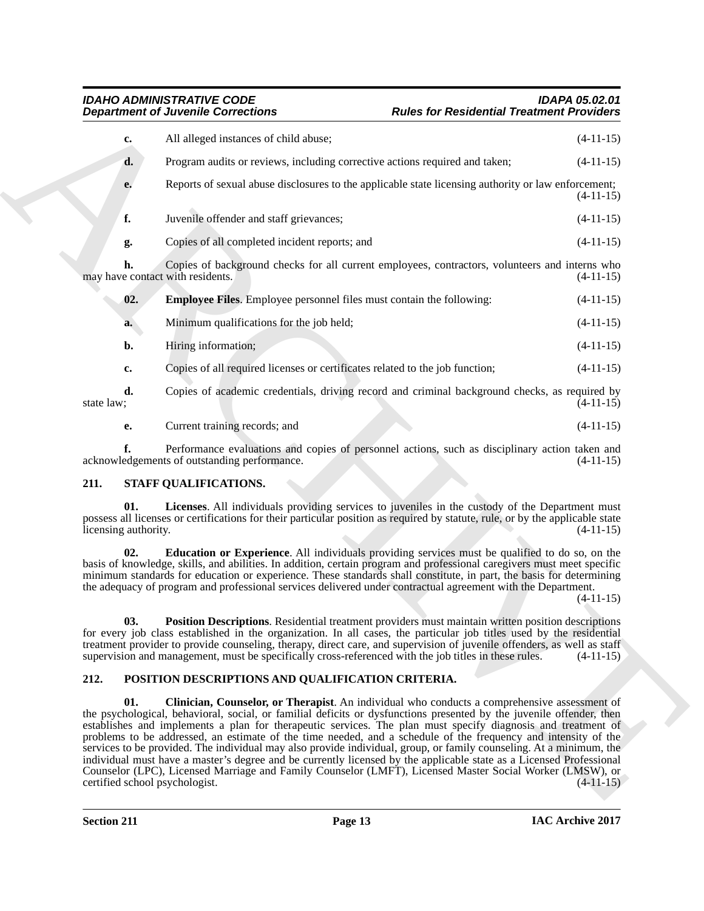|                             | <b>Department of Juvenile Corrections</b>                                                                                                                                                                                                                                                                                                                                                                                                                                                                                                                                                                                                                                                                                                                                                                                                          | <b>Rules for Residential Treatment Providers</b> |             |
|-----------------------------|----------------------------------------------------------------------------------------------------------------------------------------------------------------------------------------------------------------------------------------------------------------------------------------------------------------------------------------------------------------------------------------------------------------------------------------------------------------------------------------------------------------------------------------------------------------------------------------------------------------------------------------------------------------------------------------------------------------------------------------------------------------------------------------------------------------------------------------------------|--------------------------------------------------|-------------|
| c.                          | All alleged instances of child abuse;                                                                                                                                                                                                                                                                                                                                                                                                                                                                                                                                                                                                                                                                                                                                                                                                              |                                                  | $(4-11-15)$ |
| d.                          | Program audits or reviews, including corrective actions required and taken;                                                                                                                                                                                                                                                                                                                                                                                                                                                                                                                                                                                                                                                                                                                                                                        |                                                  | $(4-11-15)$ |
| e.                          | Reports of sexual abuse disclosures to the applicable state licensing authority or law enforcement;                                                                                                                                                                                                                                                                                                                                                                                                                                                                                                                                                                                                                                                                                                                                                |                                                  | $(4-11-15)$ |
| f.                          | Juvenile offender and staff grievances;                                                                                                                                                                                                                                                                                                                                                                                                                                                                                                                                                                                                                                                                                                                                                                                                            |                                                  | $(4-11-15)$ |
| g.                          | Copies of all completed incident reports; and                                                                                                                                                                                                                                                                                                                                                                                                                                                                                                                                                                                                                                                                                                                                                                                                      |                                                  | $(4-11-15)$ |
| h.                          | Copies of background checks for all current employees, contractors, volunteers and interns who<br>may have contact with residents.                                                                                                                                                                                                                                                                                                                                                                                                                                                                                                                                                                                                                                                                                                                 |                                                  | $(4-11-15)$ |
| 02.                         | <b>Employee Files.</b> Employee personnel files must contain the following:                                                                                                                                                                                                                                                                                                                                                                                                                                                                                                                                                                                                                                                                                                                                                                        |                                                  | $(4-11-15)$ |
| a.                          | Minimum qualifications for the job held;                                                                                                                                                                                                                                                                                                                                                                                                                                                                                                                                                                                                                                                                                                                                                                                                           |                                                  | $(4-11-15)$ |
| b.                          | Hiring information;                                                                                                                                                                                                                                                                                                                                                                                                                                                                                                                                                                                                                                                                                                                                                                                                                                |                                                  | $(4-11-15)$ |
| c.                          | Copies of all required licenses or certificates related to the job function;                                                                                                                                                                                                                                                                                                                                                                                                                                                                                                                                                                                                                                                                                                                                                                       |                                                  | $(4-11-15)$ |
| d.<br>state law;            | Copies of academic credentials, driving record and criminal background checks, as required by                                                                                                                                                                                                                                                                                                                                                                                                                                                                                                                                                                                                                                                                                                                                                      |                                                  | $(4-11-15)$ |
| е.                          | Current training records; and                                                                                                                                                                                                                                                                                                                                                                                                                                                                                                                                                                                                                                                                                                                                                                                                                      |                                                  | $(4-11-15)$ |
|                             | Performance evaluations and copies of personnel actions, such as disciplinary action taken and<br>acknowledgements of outstanding performance.                                                                                                                                                                                                                                                                                                                                                                                                                                                                                                                                                                                                                                                                                                     |                                                  | $(4-11-15)$ |
| 211.                        | STAFF QUALIFICATIONS.                                                                                                                                                                                                                                                                                                                                                                                                                                                                                                                                                                                                                                                                                                                                                                                                                              |                                                  |             |
| 01.<br>licensing authority. | Licenses. All individuals providing services to juveniles in the custody of the Department must<br>possess all licenses or certifications for their particular position as required by statute, rule, or by the applicable state                                                                                                                                                                                                                                                                                                                                                                                                                                                                                                                                                                                                                   |                                                  | $(4-11-15)$ |
| 02.                         | Education or Experience. All individuals providing services must be qualified to do so, on the<br>basis of knowledge, skills, and abilities. In addition, certain program and professional caregivers must meet specific<br>minimum standards for education or experience. These standards shall constitute, in part, the basis for determining<br>the adequacy of program and professional services delivered under contractual agreement with the Department.                                                                                                                                                                                                                                                                                                                                                                                    |                                                  | $(4-11-15)$ |
| 03.                         | Position Descriptions. Residential treatment providers must maintain written position descriptions<br>for every job class established in the organization. In all cases, the particular job titles used by the residential<br>treatment provider to provide counseling, therapy, direct care, and supervision of juvenile offenders, as well as staff<br>supervision and management, must be specifically cross-referenced with the job titles in these rules.                                                                                                                                                                                                                                                                                                                                                                                     |                                                  | $(4-11-15)$ |
| 212.                        | POSITION DESCRIPTIONS AND QUALIFICATION CRITERIA.                                                                                                                                                                                                                                                                                                                                                                                                                                                                                                                                                                                                                                                                                                                                                                                                  |                                                  |             |
| 01.                         | Clinician, Counselor, or Therapist. An individual who conducts a comprehensive assessment of<br>the psychological, behavioral, social, or familial deficits or dysfunctions presented by the juvenile offender, then<br>establishes and implements a plan for therapeutic services. The plan must specify diagnosis and treatment of<br>problems to be addressed, an estimate of the time needed, and a schedule of the frequency and intensity of the<br>services to be provided. The individual may also provide individual, group, or family counseling. At a minimum, the<br>individual must have a master's degree and be currently licensed by the applicable state as a Licensed Professional<br>Counselor (LPC), Licensed Marriage and Family Counselor (LMFT), Licensed Master Social Worker (LMSW), or<br>certified school psychologist. |                                                  | $(4-11-15)$ |

### <span id="page-12-7"></span><span id="page-12-6"></span><span id="page-12-5"></span><span id="page-12-2"></span><span id="page-12-0"></span>**211. STAFF QUALIFICATIONS.**

### <span id="page-12-8"></span><span id="page-12-4"></span><span id="page-12-3"></span><span id="page-12-1"></span>**212. POSITION DESCRIPTIONS AND QUALIFICATION CRITERIA.**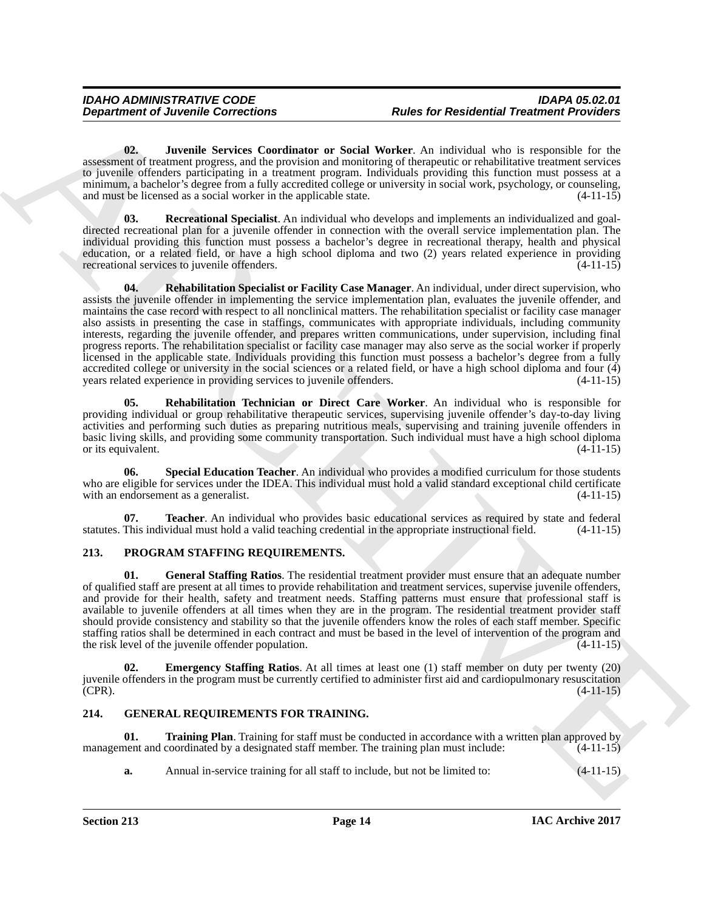<span id="page-13-4"></span>**02. Juvenile Services Coordinator or Social Worker**. An individual who is responsible for the assessment of treatment progress, and the provision and monitoring of therapeutic or rehabilitative treatment services to juvenile offenders participating in a treatment program. Individuals providing this function must possess at a minimum, a bachelor's degree from a fully accredited college or university in social work, psychology, or counseling, and must be licensed as a social worker in the applicable state. (4-11-15)

<span id="page-13-6"></span><span id="page-13-5"></span>**03. Recreational Specialist**. An individual who develops and implements an individualized and goaldirected recreational plan for a juvenile offender in connection with the overall service implementation plan. The individual providing this function must possess a bachelor's degree in recreational therapy, health and physical education, or a related field, or have a high school diploma and two (2) years related experience in providing recreational services to juvenile offenders. (4-11-15)

**Department of Juvenile Connections**<br> **Repartment of Juvenile Connections**<br> **Repartment of Newissian Connections**<br> **Representative Connections**<br> **Representative Connections (Section Connection and Connection and Connectio 04. Rehabilitation Specialist or Facility Case Manager**. An individual, under direct supervision, who assists the juvenile offender in implementing the service implementation plan, evaluates the juvenile offender, and maintains the case record with respect to all nonclinical matters. The rehabilitation specialist or facility case manager also assists in presenting the case in staffings, communicates with appropriate individuals, including community interests, regarding the juvenile offender, and prepares written communications, under supervision, including final progress reports. The rehabilitation specialist or facility case manager may also serve as the social worker if properly licensed in the applicable state. Individuals providing this function must possess a bachelor's degree from a fully accredited college or university in the social sciences or a related field, or have a high school diploma and four  $\overline{4}$  years related experience in providing services to juvenile offenders.  $(4-11-15)$ years related experience in providing services to juvenile offenders.

<span id="page-13-7"></span>**05. Rehabilitation Technician or Direct Care Worker**. An individual who is responsible for providing individual or group rehabilitative therapeutic services, supervising juvenile offender's day-to-day living activities and performing such duties as preparing nutritious meals, supervising and training juvenile offenders in basic living skills, and providing some community transportation. Such individual must have a high school diploma or its equivalent.

<span id="page-13-8"></span>**06. Special Education Teacher**. An individual who provides a modified curriculum for those students who are eligible for services under the IDEA. This individual must hold a valid standard exceptional child certificate with an endorsement as a generalist. (4-11-15)

<span id="page-13-9"></span>**07. Teacher**. An individual who provides basic educational services as required by state and federal This individual must hold a valid teaching credential in the appropriate instructional field. (4-11-15) statutes. This individual must hold a valid teaching credential in the appropriate instructional field.

#### <span id="page-13-10"></span><span id="page-13-0"></span>**213. PROGRAM STAFFING REQUIREMENTS.**

<span id="page-13-12"></span>**01. General Staffing Ratios**. The residential treatment provider must ensure that an adequate number of qualified staff are present at all times to provide rehabilitation and treatment services, supervise juvenile offenders, and provide for their health, safety and treatment needs. Staffing patterns must ensure that professional staff is available to juvenile offenders at all times when they are in the program. The residential treatment provider staff should provide consistency and stability so that the juvenile offenders know the roles of each staff member. Specific staffing ratios shall be determined in each contract and must be based in the level of intervention of the program and the risk level of the invenile offender population. (4-11-15) the risk level of the juvenile offender population.

<span id="page-13-11"></span>**Emergency Staffing Ratios.** At all times at least one (1) staff member on duty per twenty (20) juvenile offenders in the program must be currently certified to administer first aid and cardiopulmonary resuscitation  $(CPR)$ .  $(4-11-15)$ 

### <span id="page-13-2"></span><span id="page-13-1"></span>**214. GENERAL REQUIREMENTS FOR TRAINING.**

**01. Training Plan**. Training for staff must be conducted in accordance with a written plan approved by management and coordinated by a designated staff member. The training plan must include:  $(4-11-15)$ 

<span id="page-13-3"></span>**a.** Annual in-service training for all staff to include, but not be limited to:  $(4-11-15)$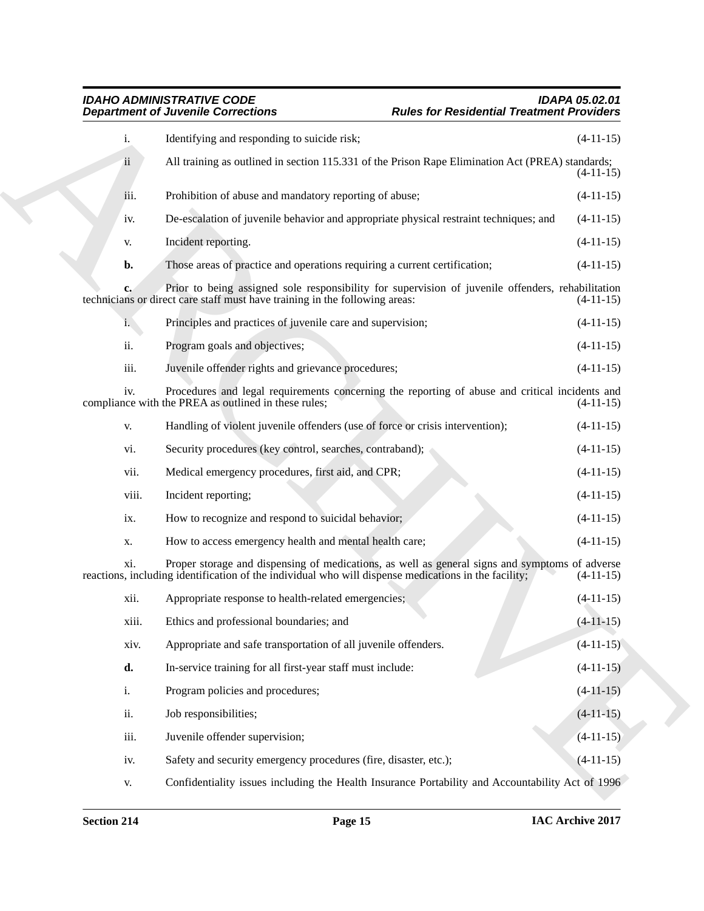|                | <b>Department of Juvenile Corrections</b>                                                                                                                                                              | <b>Rules for Residential Treatment Providers</b> |             |
|----------------|--------------------------------------------------------------------------------------------------------------------------------------------------------------------------------------------------------|--------------------------------------------------|-------------|
| i.             | Identifying and responding to suicide risk;                                                                                                                                                            |                                                  | $(4-11-15)$ |
| ii             | All training as outlined in section 115.331 of the Prison Rape Elimination Act (PREA) standards;                                                                                                       |                                                  | $(4-11-15)$ |
| iii.           | Prohibition of abuse and mandatory reporting of abuse;                                                                                                                                                 |                                                  | $(4-11-15)$ |
| iv.            | De-escalation of juvenile behavior and appropriate physical restraint techniques; and                                                                                                                  |                                                  | $(4-11-15)$ |
| V.             | Incident reporting.                                                                                                                                                                                    |                                                  | $(4-11-15)$ |
| b.             | Those areas of practice and operations requiring a current certification;                                                                                                                              |                                                  | $(4-11-15)$ |
| $c_{\bullet}$  | Prior to being assigned sole responsibility for supervision of juvenile offenders, rehabilitation<br>technicians or direct care staff must have training in the following areas:                       |                                                  | $(4-11-15)$ |
| i.             | Principles and practices of juvenile care and supervision;                                                                                                                                             |                                                  | $(4-11-15)$ |
| ii.            | Program goals and objectives;                                                                                                                                                                          |                                                  | $(4-11-15)$ |
| iii.           | Juvenile offender rights and grievance procedures;                                                                                                                                                     |                                                  | $(4-11-15)$ |
| iv.            | Procedures and legal requirements concerning the reporting of abuse and critical incidents and<br>compliance with the PREA as outlined in these rules;                                                 |                                                  | $(4-11-15)$ |
| V.             | Handling of violent juvenile offenders (use of force or crisis intervention);                                                                                                                          |                                                  | $(4-11-15)$ |
| vi.            | Security procedures (key control, searches, contraband);                                                                                                                                               |                                                  | $(4-11-15)$ |
| vii.           | Medical emergency procedures, first aid, and CPR;                                                                                                                                                      |                                                  | $(4-11-15)$ |
| viii.          | Incident reporting;                                                                                                                                                                                    |                                                  | $(4-11-15)$ |
| ix.            | How to recognize and respond to suicidal behavior;                                                                                                                                                     |                                                  | $(4-11-15)$ |
| X.             | How to access emergency health and mental health care;                                                                                                                                                 |                                                  | $(4-11-15)$ |
| xi.            | Proper storage and dispensing of medications, as well as general signs and symptoms of adverse<br>reactions, including identification of the individual who will dispense medications in the facility; |                                                  | $(4-11-15)$ |
| xii.           | Appropriate response to health-related emergencies;                                                                                                                                                    |                                                  | $(4-11-15)$ |
| xiii.          | Ethics and professional boundaries; and                                                                                                                                                                |                                                  | $(4-11-15)$ |
| xiv.           | Appropriate and safe transportation of all juvenile offenders.                                                                                                                                         |                                                  | $(4-11-15)$ |
| d.             | In-service training for all first-year staff must include:                                                                                                                                             |                                                  | $(4-11-15)$ |
| $\mathbf{i}$ . | Program policies and procedures;                                                                                                                                                                       |                                                  | $(4-11-15)$ |
| ii.            | Job responsibilities;                                                                                                                                                                                  |                                                  | $(4-11-15)$ |
| iii.           | Juvenile offender supervision;                                                                                                                                                                         |                                                  | $(4-11-15)$ |
| iv.            | Safety and security emergency procedures (fire, disaster, etc.);                                                                                                                                       |                                                  | $(4-11-15)$ |
| V.             | Confidentiality issues including the Health Insurance Portability and Accountability Act of 1996                                                                                                       |                                                  |             |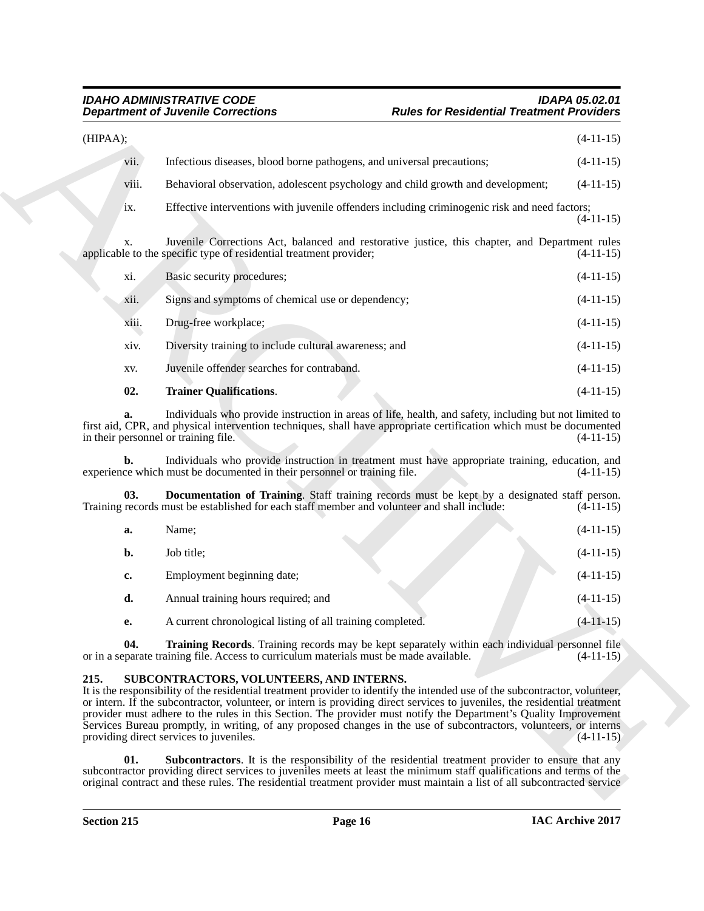#### *IDAHO ADMINISTRATIVE CODE IDAPA 05.02.01 Rules for Residential Treatment Providers*

|          | <b>Department of Juvenile Corrections</b>                                                   | <b>Rules for Residential Treatment Providers</b>                                                                                                                                                                                                                                                                                                                                                                                                                                                     |             |
|----------|---------------------------------------------------------------------------------------------|------------------------------------------------------------------------------------------------------------------------------------------------------------------------------------------------------------------------------------------------------------------------------------------------------------------------------------------------------------------------------------------------------------------------------------------------------------------------------------------------------|-------------|
| (HIPAA); |                                                                                             |                                                                                                                                                                                                                                                                                                                                                                                                                                                                                                      | $(4-11-15)$ |
| vii.     | Infectious diseases, blood borne pathogens, and universal precautions;                      |                                                                                                                                                                                                                                                                                                                                                                                                                                                                                                      | $(4-11-15)$ |
| viii.    |                                                                                             | Behavioral observation, adolescent psychology and child growth and development;                                                                                                                                                                                                                                                                                                                                                                                                                      | $(4-11-15)$ |
| ix.      |                                                                                             | Effective interventions with juvenile offenders including criminogenic risk and need factors;                                                                                                                                                                                                                                                                                                                                                                                                        | $(4-11-15)$ |
| X.       | applicable to the specific type of residential treatment provider;                          | Juvenile Corrections Act, balanced and restorative justice, this chapter, and Department rules                                                                                                                                                                                                                                                                                                                                                                                                       | $(4-11-15)$ |
| xi.      | Basic security procedures;                                                                  |                                                                                                                                                                                                                                                                                                                                                                                                                                                                                                      | $(4-11-15)$ |
| X11.     | Signs and symptoms of chemical use or dependency;                                           |                                                                                                                                                                                                                                                                                                                                                                                                                                                                                                      | $(4-11-15)$ |
| xiii.    | Drug-free workplace;                                                                        |                                                                                                                                                                                                                                                                                                                                                                                                                                                                                                      | $(4-11-15)$ |
| xiv.     | Diversity training to include cultural awareness; and                                       |                                                                                                                                                                                                                                                                                                                                                                                                                                                                                                      | $(4-11-15)$ |
| XV.      | Juvenile offender searches for contraband.                                                  |                                                                                                                                                                                                                                                                                                                                                                                                                                                                                                      | $(4-11-15)$ |
| 02.      | <b>Trainer Qualifications.</b>                                                              |                                                                                                                                                                                                                                                                                                                                                                                                                                                                                                      | $(4-11-15)$ |
|          | in their personnel or training file.                                                        | Individuals who provide instruction in areas of life, health, and safety, including but not limited to<br>first aid, CPR, and physical intervention techniques, shall have appropriate certification which must be documented                                                                                                                                                                                                                                                                        | $(4-11-15)$ |
| b.       | experience which must be documented in their personnel or training file.                    | Individuals who provide instruction in treatment must have appropriate training, education, and                                                                                                                                                                                                                                                                                                                                                                                                      | $(4-11-15)$ |
| 03.      | Training records must be established for each staff member and volunteer and shall include: | <b>Documentation of Training.</b> Staff training records must be kept by a designated staff person.                                                                                                                                                                                                                                                                                                                                                                                                  | $(4-11-15)$ |
| a.       | Name;                                                                                       |                                                                                                                                                                                                                                                                                                                                                                                                                                                                                                      | $(4-11-15)$ |
| b.       | Job title;                                                                                  |                                                                                                                                                                                                                                                                                                                                                                                                                                                                                                      | $(4-11-15)$ |
| c.       | Employment beginning date;                                                                  |                                                                                                                                                                                                                                                                                                                                                                                                                                                                                                      | $(4-11-15)$ |
| d.       | Annual training hours required; and                                                         |                                                                                                                                                                                                                                                                                                                                                                                                                                                                                                      | $(4-11-15)$ |
| е.       | A current chronological listing of all training completed.                                  |                                                                                                                                                                                                                                                                                                                                                                                                                                                                                                      | $(4-11-15)$ |
| 04.      | or in a separate training file. Access to curriculum materials must be made available.      | Training Records. Training records may be kept separately within each individual personnel file                                                                                                                                                                                                                                                                                                                                                                                                      | $(4-11-15)$ |
| 215.     | SUBCONTRACTORS, VOLUNTEERS, AND INTERNS.<br>providing direct services to juveniles.         | It is the responsibility of the residential treatment provider to identify the intended use of the subcontractor, volunteer,<br>or intern. If the subcontractor, volunteer, or intern is providing direct services to juveniles, the residential treatment<br>provider must adhere to the rules in this Section. The provider must notify the Department's Quality Improvement<br>Services Bureau promptly, in writing, of any proposed changes in the use of subcontractors, volunteers, or interns | $(4-11-15)$ |
| 01.      |                                                                                             | Subcontractors. It is the responsibility of the residential treatment provider to ensure that any                                                                                                                                                                                                                                                                                                                                                                                                    |             |

<span id="page-15-2"></span><span id="page-15-1"></span>

| a. | Name:                                                      |  | $(4-11-15)$ |
|----|------------------------------------------------------------|--|-------------|
| b. | Job title:                                                 |  | $(4-11-15)$ |
| c. | Employment beginning date;                                 |  | $(4-11-15)$ |
| d. | Annual training hours required; and                        |  | $(4-11-15)$ |
| e. | A current chronological listing of all training completed. |  | $(4-11-15)$ |

#### <span id="page-15-5"></span><span id="page-15-4"></span><span id="page-15-3"></span><span id="page-15-0"></span>**215. SUBCONTRACTORS, VOLUNTEERS, AND INTERNS.**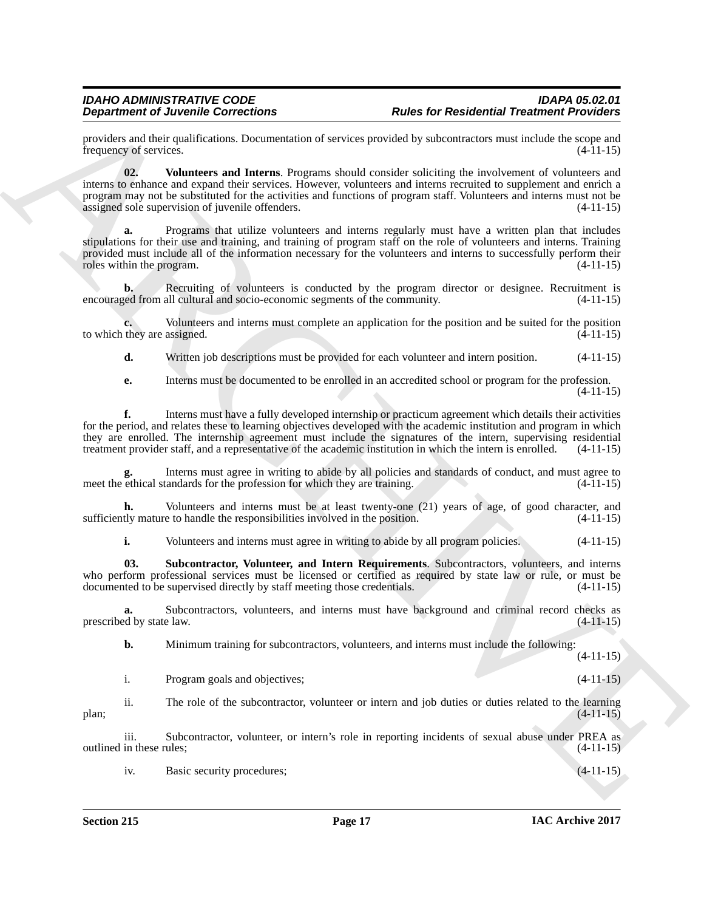providers and their qualifications. Documentation of services provided by subcontractors must include the scope and frequency of services. (4-11-15)

<span id="page-16-1"></span>**02. Volunteers and Interns**. Programs should consider soliciting the involvement of volunteers and interns to enhance and expand their services. However, volunteers and interns recruited to supplement and enrich a program may not be substituted for the activities and functions of program staff. Volunteers and interns must not be assigned sole supervision of juvenile offenders. (4-11-15) assigned sole supervision of juvenile offenders.

**Equivalent of Zivotning Connections of Archives Connections of Residential Treatment Provider in<br>
Equivalent System Activities Connection of Archives System Activities (i.e., when the system and interest of Archives Conn a.** Programs that utilize volunteers and interns regularly must have a written plan that includes stipulations for their use and training, and training of program staff on the role of volunteers and interns. Training provided must include all of the information necessary for the volunteers and interns to successfully perform their roles within the program. (4-11-15) roles within the program.

**b.** Recruiting of volunteers is conducted by the program director or designee. Recruitment is encouraged from all cultural and socio-economic segments of the community. (4-11-15)

**c.** Volunteers and interns must complete an application for the position and be suited for the position they are assigned.  $(4-11-15)$ to which they are assigned.

**d.** Written job descriptions must be provided for each volunteer and intern position.  $(4-11-15)$ 

**e.** Interns must be documented to be enrolled in an accredited school or program for the profession. (4-11-15)

**f.** Interns must have a fully developed internship or practicum agreement which details their activities for the period, and relates these to learning objectives developed with the academic institution and program in which they are enrolled. The internship agreement must include the signatures of the intern, supervising residential treatment provider staff, and a representative of the academic institution in which the intern is enrolled. (4-11-15)

Interns must agree in writing to abide by all policies and standards of conduct, and must agree to tandards for the profession for which they are training. (4-11-15) meet the ethical standards for the profession for which they are training.

**h.** Volunteers and interns must be at least twenty-one (21) years of age, of good character, and sufficiently mature to handle the responsibilities involved in the position. (4-11-15)

<span id="page-16-0"></span>**i.** Volunteers and interns must agree in writing to abide by all program policies. (4-11-15)

**03. Subcontractor, Volunteer, and Intern Requirements**. Subcontractors, volunteers, and interns who perform professional services must be licensed or certified as required by state law or rule, or must be documented to be supervised directly by staff meeting those credentials. (4-11-15) documented to be supervised directly by staff meeting those credentials.

**a.** Subcontractors, volunteers, and interns must have background and criminal record checks as prescribed by state law.  $(4-11-15)$ 

**b.** Minimum training for subcontractors, volunteers, and interns must include the following:  $(4-11-15)$ 

| Program goals and objectives; | $(4-11-15)$ |
|-------------------------------|-------------|
|                               |             |

ii. The role of the subcontractor, volunteer or intern and job duties or duties related to the learning plan; (4-11-15)

iii. Subcontractor, volunteer, or intern's role in reporting incidents of sexual abuse under PREA as outlined in these rules; (4-11-15)

iv. Basic security procedures; (4-11-15)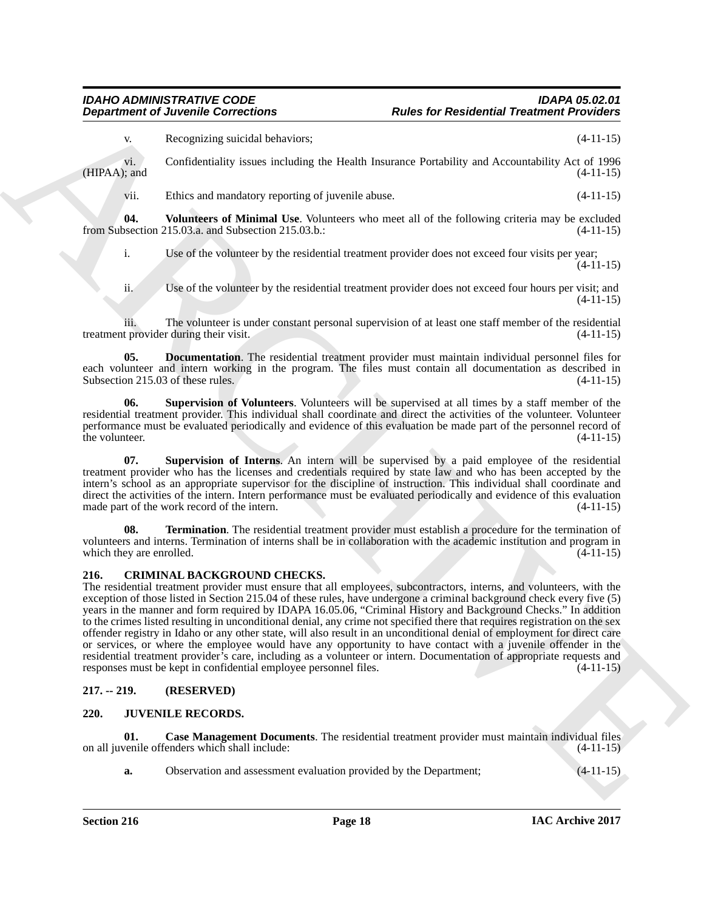#### *IDAHO ADMINISTRATIVE CODE IDAPA 05.02.01 Rules for Residential Treatment Providers*

v. Recognizing suicidal behaviors; (4-11-15)

vi. Confidentiality issues including the Health Insurance Portability and Accountability Act of 1996  $(HIPAA)$ ; and  $(4-11-15)$ 

<span id="page-17-10"></span>vii. Ethics and mandatory reporting of juvenile abuse. (4-11-15)

**04.** Volunteers of Minimal Use. Volunteers who meet all of the following criteria may be excluded by section 215.03.a. and Subsection 215.03.b.: from Subsection 215.03.a. and Subsection 215.03.b.:

i. Use of the volunteer by the residential treatment provider does not exceed four visits per year;  $(4-11-15)$ 

<span id="page-17-6"></span>ii. Use of the volunteer by the residential treatment provider does not exceed four hours per visit; and (4-11-15)

iii. The volunteer is under constant personal supervision of at least one staff member of the residential to rovider during their visit. (4-11-15) treatment provider during their visit.

**05. Documentation**. The residential treatment provider must maintain individual personnel files for each volunteer and intern working in the program. The files must contain all documentation as described in Subsection 215.03 of these rules. (4-11-15) Subsection 215.03 of these rules.

<span id="page-17-8"></span>**06. Supervision of Volunteers**. Volunteers will be supervised at all times by a staff member of the residential treatment provider. This individual shall coordinate and direct the activities of the volunteer. Volunteer performance must be evaluated periodically and evidence of this evaluation be made part of the personnel record of the volunteer.

<span id="page-17-7"></span>**07. Supervision of Interns**. An intern will be supervised by a paid employee of the residential treatment provider who has the licenses and credentials required by state law and who has been accepted by the intern's school as an appropriate supervisor for the discipline of instruction. This individual shall coordinate and direct the activities of the intern. Intern performance must be evaluated periodically and evidence of this evaluation made part of the work record of the intern. (4-11-15)

<span id="page-17-9"></span>**08. Termination**. The residential treatment provider must establish a procedure for the termination of volunteers and interns. Termination of interns shall be in collaboration with the academic institution and program in which they are enrolled. (4-11-15) which they are enrolled.

#### <span id="page-17-3"></span><span id="page-17-0"></span>**216. CRIMINAL BACKGROUND CHECKS.**

**Department of Juvenile Connections**<br>
Realisation of Montenanta procedure and the team of Realisation of Neutronic Provident (41-115)<br>
(1990) Constitution of Neutronic Provident Schwarz (1991) And Accountable yields (41-1 The residential treatment provider must ensure that all employees, subcontractors, interns, and volunteers, with the exception of those listed in Section 215.04 of these rules, have undergone a criminal background check every five (5) years in the manner and form required by IDAPA 16.05.06, "Criminal History and Background Checks." In addition to the crimes listed resulting in unconditional denial, any crime not specified there that requires registration on the sex offender registry in Idaho or any other state, will also result in an unconditional denial of employment for direct care or services, or where the employee would have any opportunity to have contact with a juvenile offender in the residential treatment provider's care, including as a volunteer or intern. Documentation of appropriate requests and responses must be kept in confidential employee personnel files. (4-11-15)

### <span id="page-17-1"></span>**217. -- 219. (RESERVED)**

### <span id="page-17-4"></span><span id="page-17-2"></span>**220. JUVENILE RECORDS.**

**01. Case Management Documents**. The residential treatment provider must maintain individual files on all juvenile offenders which shall include: (4-11-15)

<span id="page-17-5"></span>**a.** Observation and assessment evaluation provided by the Department;  $(4-11-15)$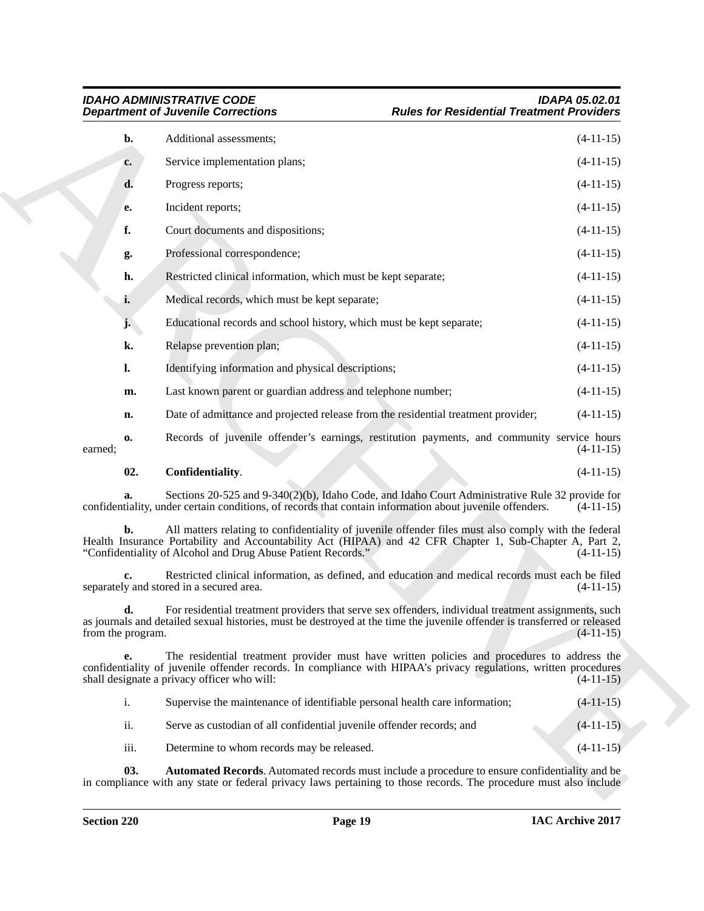|         |                   | <b>Department of Juvenile Corrections</b>                                                                                                                                                                                                                                        | <b>Rules for Residential Treatment Providers</b> |
|---------|-------------------|----------------------------------------------------------------------------------------------------------------------------------------------------------------------------------------------------------------------------------------------------------------------------------|--------------------------------------------------|
|         | b.                | Additional assessments;                                                                                                                                                                                                                                                          | $(4-11-15)$                                      |
|         | c.                | Service implementation plans;                                                                                                                                                                                                                                                    | $(4-11-15)$                                      |
|         | d.                | Progress reports;                                                                                                                                                                                                                                                                | $(4-11-15)$                                      |
|         | e.                | Incident reports;                                                                                                                                                                                                                                                                | $(4-11-15)$                                      |
|         | f.                | Court documents and dispositions;                                                                                                                                                                                                                                                | $(4-11-15)$                                      |
|         | g.                | Professional correspondence;                                                                                                                                                                                                                                                     | $(4-11-15)$                                      |
|         | h.                | Restricted clinical information, which must be kept separate;                                                                                                                                                                                                                    | $(4-11-15)$                                      |
|         | i.                | Medical records, which must be kept separate;                                                                                                                                                                                                                                    | $(4-11-15)$                                      |
|         | j.                | Educational records and school history, which must be kept separate;                                                                                                                                                                                                             | $(4-11-15)$                                      |
|         | k.                | Relapse prevention plan;                                                                                                                                                                                                                                                         | $(4-11-15)$                                      |
|         | $\mathbf{l}$ .    | Identifying information and physical descriptions;                                                                                                                                                                                                                               | $(4-11-15)$                                      |
|         | m.                | Last known parent or guardian address and telephone number;                                                                                                                                                                                                                      | $(4-11-15)$                                      |
|         | n.                | Date of admittance and projected release from the residential treatment provider;                                                                                                                                                                                                | $(4-11-15)$                                      |
| earned; | 0.                | Records of juvenile offender's earnings, restitution payments, and community service hours                                                                                                                                                                                       | $(4-11-15)$                                      |
|         | 02.               | Confidentiality.                                                                                                                                                                                                                                                                 | $(4-11-15)$                                      |
|         | a.                | Sections 20-525 and 9-340(2)(b), Idaho Code, and Idaho Court Administrative Rule 32 provide for<br>confidentiality, under certain conditions, of records that contain information about juvenile offenders.                                                                      | $(4-11-15)$                                      |
|         | b.                | All matters relating to confidentiality of juvenile offender files must also comply with the federal<br>Health Insurance Portability and Accountability Act (HIPAA) and 42 CFR Chapter 1, Sub-Chapter A, Part 2,<br>"Confidentiality of Alcohol and Drug Abuse Patient Records." | $(4-11-15)$                                      |
|         | c.                | Restricted clinical information, as defined, and education and medical records must each be filed<br>separately and stored in a secured area.                                                                                                                                    | $(4-11-15)$                                      |
|         | from the program. | For residential treatment providers that serve sex offenders, individual treatment assignments, such<br>as journals and detailed sexual histories, must be destroyed at the time the juvenile offender is transferred or released                                                | $(4-11-15)$                                      |
|         | e.                | The residential treatment provider must have written policies and procedures to address the<br>confidentiality of juvenile offender records. In compliance with HIPAA's privacy regulations, written procedures<br>shall designate a privacy officer who will:                   | $(4-11-15)$                                      |
|         | $\mathbf{i}$ .    | Supervise the maintenance of identifiable personal health care information;                                                                                                                                                                                                      | $(4-11-15)$                                      |
|         | ii.               | Serve as custodian of all confidential juvenile offender records; and                                                                                                                                                                                                            | $(4-11-15)$                                      |
|         | iii.              | Determine to whom records may be released.                                                                                                                                                                                                                                       | $(4-11-15)$                                      |
|         |                   |                                                                                                                                                                                                                                                                                  |                                                  |

<span id="page-18-1"></span><span id="page-18-0"></span>

| $\overline{1}$ . | Supervise the maintenance of identifiable personal health care information; | $(4-11-15)$ |
|------------------|-----------------------------------------------------------------------------|-------------|
| ii.              | Serve as custodian of all confidential juvenile offender records; and       | $(4-11-15)$ |
| iii.             | Determine to whom records may be released.                                  | $(4-11-15)$ |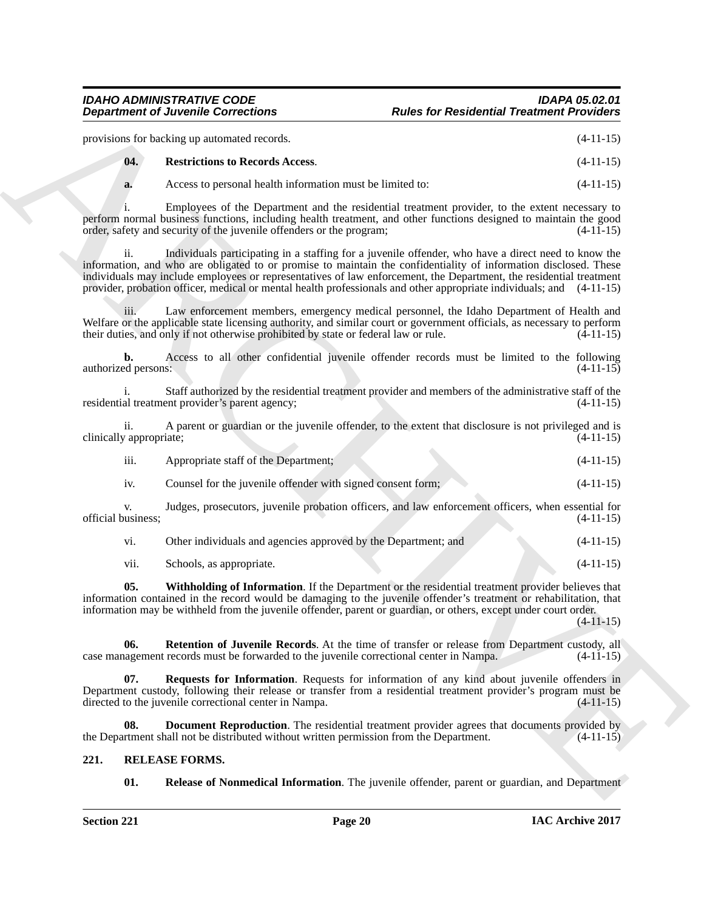#### <span id="page-19-2"></span>*IDAHO ADMINISTRATIVE CODE IDAPA 05.02.01* **Rules for Residential Treatment Providers**

|                                | <b>Department of Juvenile Corrections</b>                                                                                                                                                                                                                                                                                                                      | <b>Rules for Residential Treatment Providers</b>                                                      |             |
|--------------------------------|----------------------------------------------------------------------------------------------------------------------------------------------------------------------------------------------------------------------------------------------------------------------------------------------------------------------------------------------------------------|-------------------------------------------------------------------------------------------------------|-------------|
|                                | provisions for backing up automated records.                                                                                                                                                                                                                                                                                                                   |                                                                                                       | $(4-11-15)$ |
| 04.                            | <b>Restrictions to Records Access.</b>                                                                                                                                                                                                                                                                                                                         |                                                                                                       | $(4-11-15)$ |
| a.                             | Access to personal health information must be limited to:                                                                                                                                                                                                                                                                                                      |                                                                                                       | $(4-11-15)$ |
|                                | perform normal business functions, including health treatment, and other functions designed to maintain the good<br>order, safety and security of the juvenile offenders or the program;                                                                                                                                                                       | Employees of the Department and the residential treatment provider, to the extent necessary to        | $(4-11-15)$ |
| ii.                            | information, and who are obligated to or promise to maintain the confidentiality of information disclosed. These<br>individuals may include employees or representatives of law enforcement, the Department, the residential treatment<br>provider, probation officer, medical or mental health professionals and other appropriate individuals; and (4-11-15) | Individuals participating in a staffing for a juvenile offender, who have a direct need to know the   |             |
| 111.                           | Welfare or the applicable state licensing authority, and similar court or government officials, as necessary to perform<br>their duties, and only if not otherwise prohibited by state or federal law or rule.                                                                                                                                                 | Law enforcement members, emergency medical personnel, the Idaho Department of Health and              | $(4-11-15)$ |
| b.<br>authorized persons:      |                                                                                                                                                                                                                                                                                                                                                                | Access to all other confidential juvenile offender records must be limited to the following           | $(4-11-15)$ |
|                                | residential treatment provider's parent agency;                                                                                                                                                                                                                                                                                                                | Staff authorized by the residential treatment provider and members of the administrative staff of the | $(4-11-15)$ |
| ii.<br>clinically appropriate; |                                                                                                                                                                                                                                                                                                                                                                | A parent or guardian or the juvenile offender, to the extent that disclosure is not privileged and is | $(4-11-15)$ |
| iii.                           | Appropriate staff of the Department;                                                                                                                                                                                                                                                                                                                           |                                                                                                       | $(4-11-15)$ |
| iv.                            | Counsel for the juvenile offender with signed consent form;                                                                                                                                                                                                                                                                                                    |                                                                                                       | $(4-11-15)$ |
| V.<br>official business;       |                                                                                                                                                                                                                                                                                                                                                                | Judges, prosecutors, juvenile probation officers, and law enforcement officers, when essential for    | $(4-11-15)$ |
| vi.                            | Other individuals and agencies approved by the Department; and                                                                                                                                                                                                                                                                                                 |                                                                                                       | $(4-11-15)$ |
| vii.                           | Schools, as appropriate.                                                                                                                                                                                                                                                                                                                                       |                                                                                                       | $(4-11-15)$ |
| 05.                            | information contained in the record would be damaging to the juvenile offender's treatment or rehabilitation, that<br>information may be withheld from the juvenile offender, parent or guardian, or others, except under court order.                                                                                                                         | Withholding of Information. If the Department or the residential treatment provider believes that     | $(4-11-15)$ |
| 06.                            | case management records must be forwarded to the juvenile correctional center in Nampa.                                                                                                                                                                                                                                                                        | <b>Retention of Juvenile Records.</b> At the time of transfer or release from Department custody, all | $(4-11-15)$ |
| 07.                            | Department custody, following their release or transfer from a residential treatment provider's program must be<br>directed to the juvenile correctional center in Nampa.                                                                                                                                                                                      | <b>Requests for Information</b> . Requests for information of any kind about juvenile offenders in    | $(4-11-15)$ |
| 08.                            | the Department shall not be distributed without written permission from the Department.                                                                                                                                                                                                                                                                        | <b>Document Reproduction</b> . The residential treatment provider agrees that documents provided by   | $(4-11-15)$ |
| 221.                           | <b>RELEASE FORMS.</b>                                                                                                                                                                                                                                                                                                                                          |                                                                                                       |             |
|                                |                                                                                                                                                                                                                                                                                                                                                                |                                                                                                       |             |

#### <span id="page-19-7"></span><span id="page-19-6"></span><span id="page-19-5"></span><span id="page-19-4"></span><span id="page-19-3"></span><span id="page-19-1"></span><span id="page-19-0"></span>**221. RELEASE FORMS.**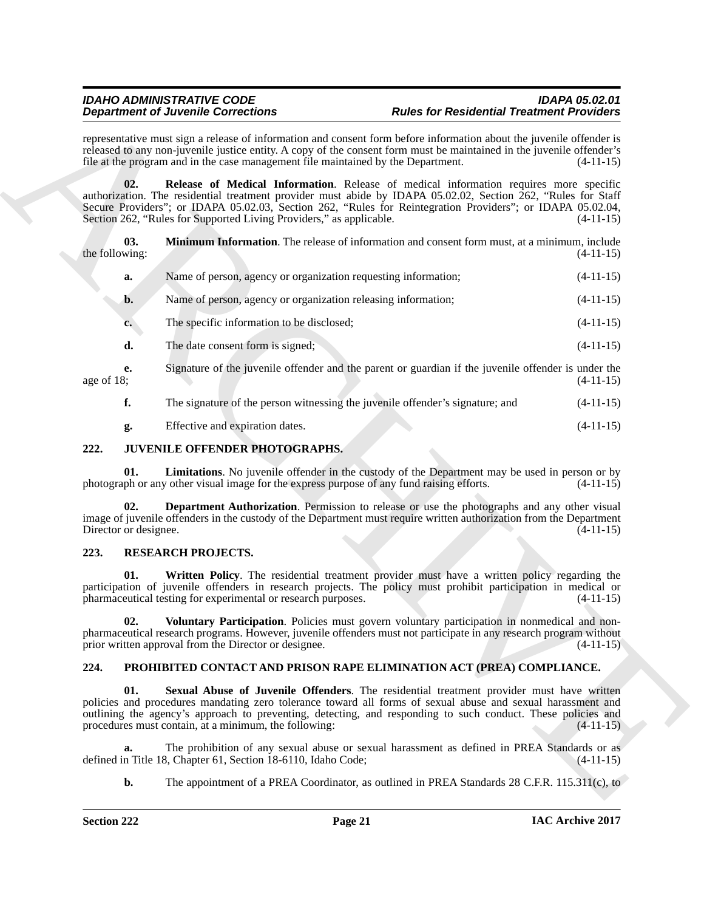<span id="page-20-9"></span><span id="page-20-8"></span>

|                              | <b>Department of Juvenile Corrections</b>                                                 | <b>Rules for Residential Treatment Providers</b>                                                                                                                                                                                                                                                                        |             |
|------------------------------|-------------------------------------------------------------------------------------------|-------------------------------------------------------------------------------------------------------------------------------------------------------------------------------------------------------------------------------------------------------------------------------------------------------------------------|-------------|
|                              | file at the program and in the case management file maintained by the Department.         | representative must sign a release of information and consent form before information about the juvenile offender is<br>released to any non-juvenile justice entity. A copy of the consent form must be maintained in the juvenile offender's                                                                           | $(4-11-15)$ |
| 02.                          | Section 262, "Rules for Supported Living Providers," as applicable.                       | Release of Medical Information. Release of medical information requires more specific<br>authorization. The residential treatment provider must abide by IDAPA 05.02.02, Section 262, "Rules for Staff<br>Secure Providers"; or IDAPA 05.02.03, Section 262, "Rules for Reintegration Providers"; or IDAPA 05.02.04,    | $(4-11-15)$ |
| 03.<br>the following:        |                                                                                           | Minimum Information. The release of information and consent form must, at a minimum, include                                                                                                                                                                                                                            | $(4-11-15)$ |
| a.                           | Name of person, agency or organization requesting information;                            |                                                                                                                                                                                                                                                                                                                         | $(4-11-15)$ |
| b.                           | Name of person, agency or organization releasing information;                             |                                                                                                                                                                                                                                                                                                                         | $(4-11-15)$ |
| $c_{\bullet}$                | The specific information to be disclosed;                                                 |                                                                                                                                                                                                                                                                                                                         | $(4-11-15)$ |
| d.                           | The date consent form is signed;                                                          |                                                                                                                                                                                                                                                                                                                         | $(4-11-15)$ |
| е.<br>age of $18$ ;          |                                                                                           | Signature of the juvenile offender and the parent or guardian if the juvenile offender is under the                                                                                                                                                                                                                     | $(4-11-15)$ |
| f.                           |                                                                                           | The signature of the person witnessing the juvenile offender's signature; and                                                                                                                                                                                                                                           | $(4-11-15)$ |
| g.                           | Effective and expiration dates.                                                           |                                                                                                                                                                                                                                                                                                                         | $(4-11-15)$ |
| 222.                         | JUVENILE OFFENDER PHOTOGRAPHS.                                                            |                                                                                                                                                                                                                                                                                                                         |             |
| 01.                          | photograph or any other visual image for the express purpose of any fund raising efforts. | Limitations. No juvenile offender in the custody of the Department may be used in person or by                                                                                                                                                                                                                          | $(4-11-15)$ |
| 02.<br>Director or designee. |                                                                                           | <b>Department Authorization</b> . Permission to release or use the photographs and any other visual<br>image of juvenile offenders in the custody of the Department must require written authorization from the Department                                                                                              | $(4-11-15)$ |
| 223.                         | <b>RESEARCH PROJECTS.</b>                                                                 |                                                                                                                                                                                                                                                                                                                         |             |
| 01.                          | pharmaceutical testing for experimental or research purposes.                             | Written Policy. The residential treatment provider must have a written policy regarding the<br>participation of juvenile offenders in research projects. The policy must prohibit participation in medical or                                                                                                           | $(4-11-15)$ |
| 02.                          | prior written approval from the Director or designee.                                     | Voluntary Participation. Policies must govern voluntary participation in nonmedical and non-<br>pharmaceutical research programs. However, juvenile offenders must not participate in any research program without                                                                                                      | $(4-11-15)$ |
| 224.                         |                                                                                           | PROHIBITED CONTACT AND PRISON RAPE ELIMINATION ACT (PREA) COMPLIANCE.                                                                                                                                                                                                                                                   |             |
| 01.                          | procedures must contain, at a minimum, the following:                                     | Sexual Abuse of Juvenile Offenders. The residential treatment provider must have written<br>policies and procedures mandating zero tolerance toward all forms of sexual abuse and sexual harassment and<br>outlining the agency's approach to preventing, detecting, and responding to such conduct. These policies and | $(4-11-15)$ |
| a.                           | defined in Title 18, Chapter 61, Section 18-6110, Idaho Code;                             | The prohibition of any sexual abuse or sexual harassment as defined in PREA Standards or as                                                                                                                                                                                                                             | $(4-11-15)$ |
| $\mathbf{b}$ .               |                                                                                           | The appointment of a PREA Coordinator, as outlined in PREA Standards 28 C.F.R. 115.311(c), to $\Rightarrow$                                                                                                                                                                                                             |             |

#### <span id="page-20-5"></span><span id="page-20-4"></span><span id="page-20-3"></span><span id="page-20-0"></span>**222. JUVENILE OFFENDER PHOTOGRAPHS.**

#### <span id="page-20-12"></span><span id="page-20-10"></span><span id="page-20-1"></span>**223. RESEARCH PROJECTS.**

### <span id="page-20-11"></span><span id="page-20-7"></span><span id="page-20-6"></span><span id="page-20-2"></span>**224. PROHIBITED CONTACT AND PRISON RAPE ELIMINATION ACT (PREA) COMPLIANCE.**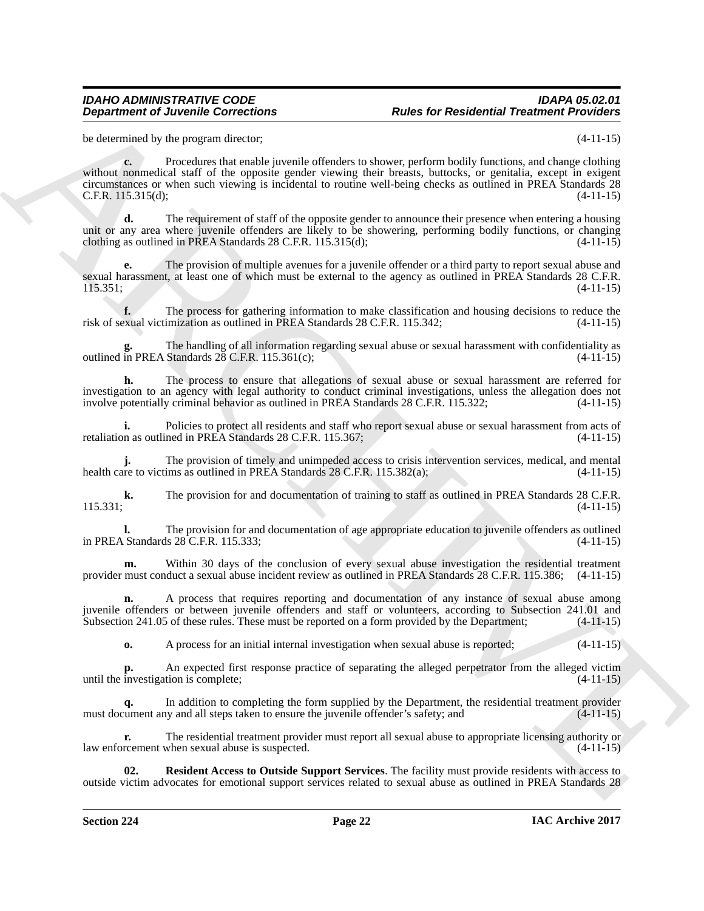be determined by the program director; (4-11-15)

**Department of Juvenile Connections**<br>
Foundation Figure for Residential Treatment Prophetical Schemes (1998)<br>
Schemes and the response distribution of the state of the state of the state of the state of the state of the s **c.** Procedures that enable juvenile offenders to shower, perform bodily functions, and change clothing without nonmedical staff of the opposite gender viewing their breasts, buttocks, or genitalia, except in exigent circumstances or when such viewing is incidental to routine well-being checks as outlined in PREA Standards 28 C.F.R. 115.315(d); (4-11-15)

**d.** The requirement of staff of the opposite gender to announce their presence when entering a housing unit or any area where juvenile offenders are likely to be showering, performing bodily functions, or changing clothing as outlined in PREA Standards 28 C.F.R. 115.315(d);  $(4-11-15)$ 

**e.** The provision of multiple avenues for a juvenile offender or a third party to report sexual abuse and sexual harassment, at least one of which must be external to the agency as outlined in PREA Standards 28 C.F.R.  $115.351;$  (4-11-15)

**f.** The process for gathering information to make classification and housing decisions to reduce the exual victimization as outlined in PREA Standards 28 C.F.R. 115.342; (4-11-15) risk of sexual victimization as outlined in PREA Standards 28 C.F.R. 115.342;

The handling of all information regarding sexual abuse or sexual harassment with confidentiality as Standards 28 C.F.R. 115.361(c): **g.** The nandling of all information routlined in PREA Standards 28 C.F.R. 115.361(c);

**h.** The process to ensure that allegations of sexual abuse or sexual harassment are referred for investigation to an agency with legal authority to conduct criminal investigations, unless the allegation does not involve potentially criminal behavior as outlined in PREA Standards 28 C.F.R. 115.322; (4-11-15)

**i.** Policies to protect all residents and staff who report sexual abuse or sexual harassment from acts of on as outlined in PREA Standards 28 C.F.R. 115.367; (4-11-15) retaliation as outlined in PREA Standards 28 C.F.R. 115.367;

**j.** The provision of timely and unimpeded access to crisis intervention services, medical, and mental are to victims as outlined in PREA Standards 28 C.F.R. 115.382(a); (4-11-15) health care to victims as outlined in PREA Standards  $28$  C.F.R. 115.382(a);

**k.** The provision for and documentation of training to staff as outlined in PREA Standards 28 C.F.R. (4-11-15)  $(4-11-15)$   $(4-11-15)$ 

**l.** The provision for and documentation of age appropriate education to juvenile offenders as outlined Standards 28 C.F.R. 115.333; in PREA Standards  $28$  C.F.R. 115.333;

**m.** Within 30 days of the conclusion of every sexual abuse investigation the residential treatment provider must conduct a sexual abuse incident review as outlined in PREA Standards 28 C.F.R. 115.386; (4-11-15)

**n.** A process that requires reporting and documentation of any instance of sexual abuse among juvenile offenders or between juvenile offenders and staff or volunteers, according to Subsection 241.01 and Subsection 241.05 of these rules. These must be reported on a form provided by the Department; (4-11-15)

**o.** A process for an initial internal investigation when sexual abuse is reported;  $(4-11-15)$ 

**p.** An expected first response practice of separating the alleged perpetrator from the alleged victim until the investigation is complete; (4-11-15)

**q.** In addition to completing the form supplied by the Department, the residential treatment provider must document any and all steps taken to ensure the juvenile offender's safety; and

**r.** The residential treatment provider must report all sexual abuse to appropriate licensing authority or reement when sexual abuse is suspected. (4-11-15) law enforcement when sexual abuse is suspected.

<span id="page-21-0"></span>**02. Resident Access to Outside Support Services**. The facility must provide residents with access to outside victim advocates for emotional support services related to sexual abuse as outlined in PREA Standards 28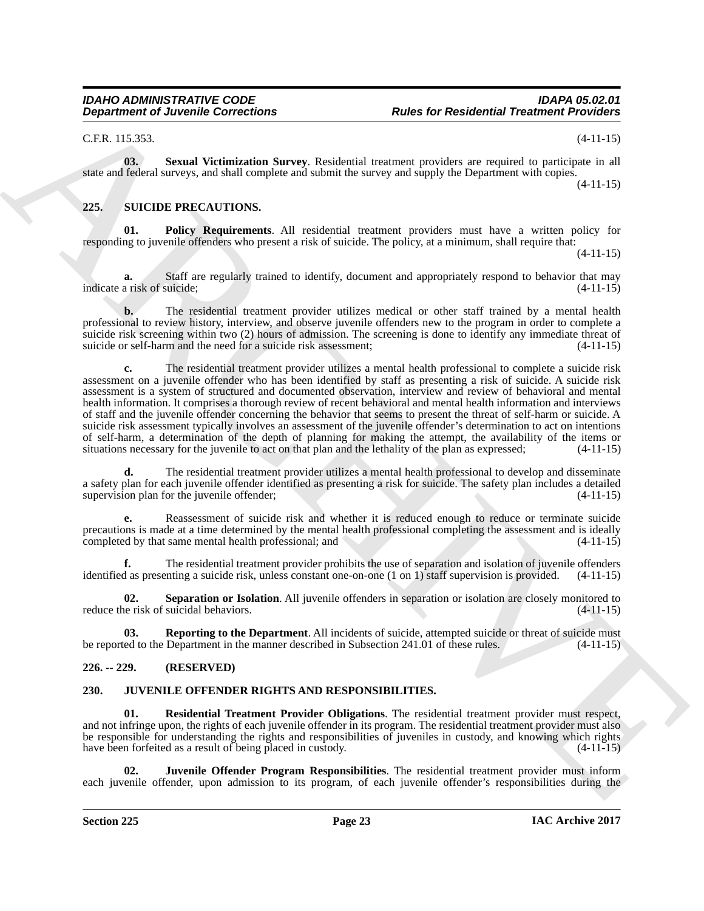<span id="page-22-6"></span>C.F.R. 115.353. (4-11-15)

**03. Sexual Victimization Survey**. Residential treatment providers are required to participate in all state and federal surveys, and shall complete and submit the survey and supply the Department with copies. (4-11-15)

#### <span id="page-22-7"></span><span id="page-22-0"></span>**225. SUICIDE PRECAUTIONS.**

<span id="page-22-8"></span>**01. Policy Requirements**. All residential treatment providers must have a written policy for responding to juvenile offenders who present a risk of suicide. The policy, at a minimum, shall require that:

(4-11-15)

**a.** Staff are regularly trained to identify, document and appropriately respond to behavior that may a risk of suicide: (4-11-15) indicate a risk of suicide;

**b.** The residential treatment provider utilizes medical or other staff trained by a mental health professional to review history, interview, and observe juvenile offenders new to the program in order to complete a suicide risk screening within two (2) hours of admission. The screening is done to identify any immediate threat of suicide or self-harm and the need for a suicide risk assessment; (4-11-15)

**Department of Juvenile Conventions**<br>
C-R. 113-53.<br>
C-R. 113-53. Second Velembation Survey Revisions increases are<br>specified in equilibrium of the specific state of the specified increases and second in the specified in t **c.** The residential treatment provider utilizes a mental health professional to complete a suicide risk assessment on a juvenile offender who has been identified by staff as presenting a risk of suicide. A suicide risk assessment is a system of structured and documented observation, interview and review of behavioral and mental health information. It comprises a thorough review of recent behavioral and mental health information and interviews of staff and the juvenile offender concerning the behavior that seems to present the threat of self-harm or suicide. A suicide risk assessment typically involves an assessment of the juvenile offender's determination to act on intentions of self-harm, a determination of the depth of planning for making the attempt, the availability of the items or situations necessary for the invenile to act on that plan and the lethality of the plan as expressed:  $(4-11-1$ situations necessary for the juvenile to act on that plan and the lethality of the plan as expressed;

**d.** The residential treatment provider utilizes a mental health professional to develop and disseminate a safety plan for each juvenile offender identified as presenting a risk for suicide. The safety plan includes a detailed supervision plan for the juvenile offender; (4-11-15)

**e.** Reassessment of suicide risk and whether it is reduced enough to reduce or terminate suicide precautions is made at a time determined by the mental health professional completing the assessment and is ideally<br>completed by that same mental health professional; and (4-11-15) completed by that same mental health professional; and

**f.** The residential treatment provider prohibits the use of separation and isolation of juvenile offenders identified as presenting a suicide risk, unless constant one-on-one (1 on 1) staff supervision is provided. (4-11-15)

<span id="page-22-10"></span>**02. Separation or Isolation**. All juvenile offenders in separation or isolation are closely monitored to e risk of suicidal behaviors. (4-11-15) reduce the risk of suicidal behaviors.

<span id="page-22-9"></span>**03. Reporting to the Department**. All incidents of suicide, attempted suicide or threat of suicide must led to the Department in the manner described in Subsection 241.01 of these rules. (4-11-15) be reported to the Department in the manner described in Subsection 241.01 of these rules.

#### <span id="page-22-1"></span>**226. -- 229. (RESERVED)**

#### <span id="page-22-3"></span><span id="page-22-2"></span>**230. JUVENILE OFFENDER RIGHTS AND RESPONSIBILITIES.**

<span id="page-22-4"></span>**01. Residential Treatment Provider Obligations**. The residential treatment provider must respect, and not infringe upon, the rights of each juvenile offender in its program. The residential treatment provider must also be responsible for understanding the rights and responsibilities of juveniles in custody, and knowing which rights have been forfeited as a result of being placed in custody. (4-11-15)

<span id="page-22-5"></span>**02. Juvenile Offender Program Responsibilities**. The residential treatment provider must inform each juvenile offender, upon admission to its program, of each juvenile offender's responsibilities during the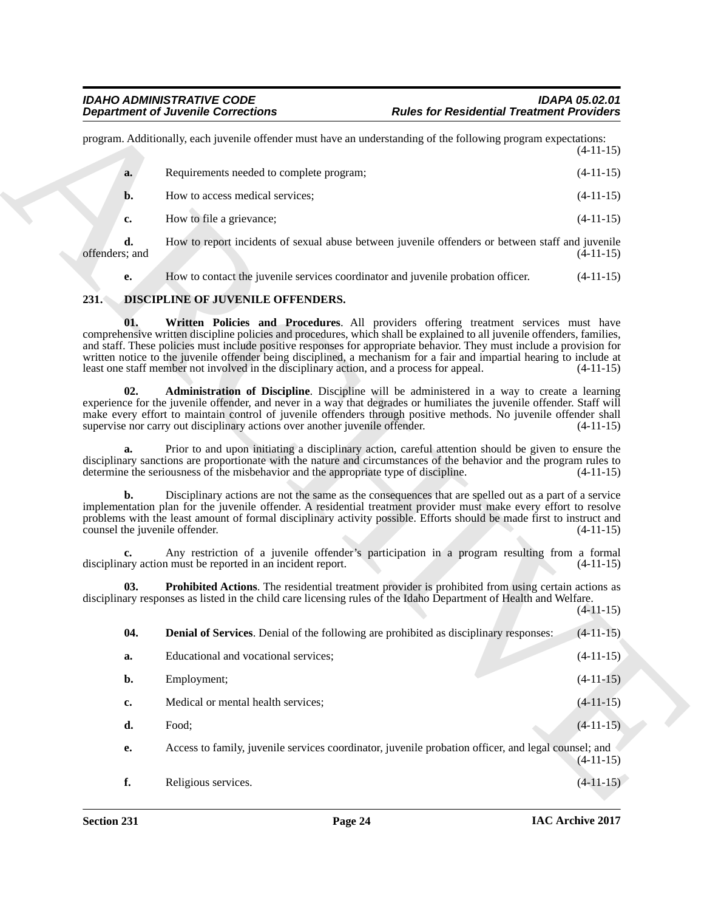#### <span id="page-23-5"></span><span id="page-23-4"></span><span id="page-23-3"></span><span id="page-23-2"></span><span id="page-23-1"></span><span id="page-23-0"></span>**231. DISCIPLINE OF JUVENILE OFFENDERS.**

|                                                  | <b>Department of Juvenile Corrections</b>                                                 | <b>Rules for Residential Treatment Providers</b>                                                                                                                                                                                                                                                                                                                                                                                                                  |             |
|--------------------------------------------------|-------------------------------------------------------------------------------------------|-------------------------------------------------------------------------------------------------------------------------------------------------------------------------------------------------------------------------------------------------------------------------------------------------------------------------------------------------------------------------------------------------------------------------------------------------------------------|-------------|
|                                                  |                                                                                           | program. Additionally, each juvenile offender must have an understanding of the following program expectations:                                                                                                                                                                                                                                                                                                                                                   | $(4-11-15)$ |
| a.                                               | Requirements needed to complete program;                                                  |                                                                                                                                                                                                                                                                                                                                                                                                                                                                   | $(4-11-15)$ |
| b.                                               | How to access medical services;                                                           |                                                                                                                                                                                                                                                                                                                                                                                                                                                                   | $(4-11-15)$ |
| c.                                               | How to file a grievance;                                                                  |                                                                                                                                                                                                                                                                                                                                                                                                                                                                   | $(4-11-15)$ |
| d.<br>offenders; and                             |                                                                                           | How to report incidents of sexual abuse between juvenile offenders or between staff and juvenile                                                                                                                                                                                                                                                                                                                                                                  | $(4-11-15)$ |
| е.                                               |                                                                                           | How to contact the juvenile services coordinator and juvenile probation officer.                                                                                                                                                                                                                                                                                                                                                                                  | $(4-11-15)$ |
| 231.                                             | DISCIPLINE OF JUVENILE OFFENDERS.                                                         |                                                                                                                                                                                                                                                                                                                                                                                                                                                                   |             |
| 01.                                              | least one staff member not involved in the disciplinary action, and a process for appeal. | Written Policies and Procedures. All providers offering treatment services must have<br>comprehensive written discipline policies and procedures, which shall be explained to all juvenile offenders, families,<br>and staff. These policies must include positive responses for appropriate behavior. They must include a provision for<br>written notice to the juvenile offender being disciplined, a mechanism for a fair and impartial hearing to include at | $(4-11-15)$ |
| 02.                                              | supervise nor carry out disciplinary actions over another juvenile offender.              | Administration of Discipline. Discipline will be administered in a way to create a learning<br>experience for the juvenile offender, and never in a way that degrades or humiliates the juvenile offender. Staff will<br>make every effort to maintain control of juvenile offenders through positive methods. No juvenile offender shall                                                                                                                         | $(4-11-15)$ |
| a.                                               | determine the seriousness of the misbehavior and the appropriate type of discipline.      | Prior to and upon initiating a disciplinary action, careful attention should be given to ensure the<br>disciplinary sanctions are proportionate with the nature and circumstances of the behavior and the program rules to                                                                                                                                                                                                                                        | $(4-11-15)$ |
| $\mathbf{b}$ .<br>counsel the juvenile offender. |                                                                                           | Disciplinary actions are not the same as the consequences that are spelled out as a part of a service<br>implementation plan for the juvenile offender. A residential treatment provider must make every effort to resolve<br>problems with the least amount of formal disciplinary activity possible. Efforts should be made first to instruct and                                                                                                               | $(4-11-15)$ |
|                                                  | disciplinary action must be reported in an incident report.                               | Any restriction of a juvenile offender's participation in a program resulting from a formal                                                                                                                                                                                                                                                                                                                                                                       | $(4-11-15)$ |
| 03.                                              |                                                                                           | <b>Prohibited Actions.</b> The residential treatment provider is prohibited from using certain actions as<br>disciplinary responses as listed in the child care licensing rules of the Idaho Department of Health and Welfare.                                                                                                                                                                                                                                    | $(4-11-15)$ |
| 04.                                              |                                                                                           | <b>Denial of Services</b> . Denial of the following are prohibited as disciplinary responses:                                                                                                                                                                                                                                                                                                                                                                     | $(4-11-15)$ |
| a.                                               | Educational and vocational services;                                                      |                                                                                                                                                                                                                                                                                                                                                                                                                                                                   | $(4-11-15)$ |
| b.                                               | Employment;                                                                               |                                                                                                                                                                                                                                                                                                                                                                                                                                                                   | $(4-11-15)$ |
| c.                                               | Medical or mental health services;                                                        |                                                                                                                                                                                                                                                                                                                                                                                                                                                                   | $(4-11-15)$ |
| d.                                               | Food;                                                                                     |                                                                                                                                                                                                                                                                                                                                                                                                                                                                   | $(4-11-15)$ |
| e.                                               |                                                                                           | Access to family, juvenile services coordinator, juvenile probation officer, and legal counsel; and                                                                                                                                                                                                                                                                                                                                                               | $(4-11-15)$ |
|                                                  | Religious services.                                                                       |                                                                                                                                                                                                                                                                                                                                                                                                                                                                   | $(4-11-15)$ |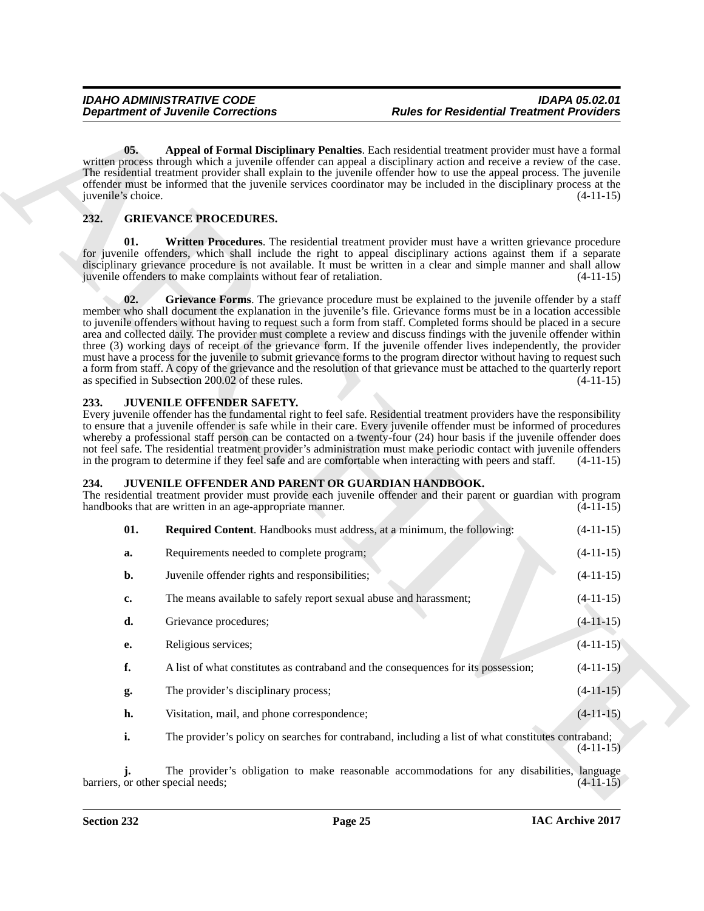### <span id="page-24-6"></span><span id="page-24-5"></span><span id="page-24-4"></span><span id="page-24-3"></span><span id="page-24-0"></span>**232. GRIEVANCE PROCEDURES.**

#### <span id="page-24-9"></span><span id="page-24-1"></span>**233. JUVENILE OFFENDER SAFETY.**

## <span id="page-24-8"></span><span id="page-24-7"></span><span id="page-24-2"></span>**234. JUVENILE OFFENDER AND PARENT OR GUARDIAN HANDBOOK.** The residential treatment provider must provide each invenile offender and their pare

|                           | <b>Department of Juvenile Corrections</b>                                                                      | <b>Rules for Residential Treatment Providers</b>                                                                                                                                                                                                                                                                                                                                                                                                                                                                                                                                                                                                                                                                                                                                                                                                 |             |
|---------------------------|----------------------------------------------------------------------------------------------------------------|--------------------------------------------------------------------------------------------------------------------------------------------------------------------------------------------------------------------------------------------------------------------------------------------------------------------------------------------------------------------------------------------------------------------------------------------------------------------------------------------------------------------------------------------------------------------------------------------------------------------------------------------------------------------------------------------------------------------------------------------------------------------------------------------------------------------------------------------------|-------------|
| 05.<br>juvenile's choice. |                                                                                                                | Appeal of Formal Disciplinary Penalties. Each residential treatment provider must have a formal<br>written process through which a juvenile offender can appeal a disciplinary action and receive a review of the case.<br>The residential treatment provider shall explain to the juvenile offender how to use the appeal process. The juvenile<br>offender must be informed that the juvenile services coordinator may be included in the disciplinary process at the                                                                                                                                                                                                                                                                                                                                                                          | $(4-11-15)$ |
| 232.                      | <b>GRIEVANCE PROCEDURES.</b>                                                                                   |                                                                                                                                                                                                                                                                                                                                                                                                                                                                                                                                                                                                                                                                                                                                                                                                                                                  |             |
| 01.                       | juvenile offenders to make complaints without fear of retaliation.                                             | Written Procedures. The residential treatment provider must have a written grievance procedure<br>for juvenile offenders, which shall include the right to appeal disciplinary actions against them if a separate<br>disciplinary grievance procedure is not available. It must be written in a clear and simple manner and shall allow                                                                                                                                                                                                                                                                                                                                                                                                                                                                                                          | $(4-11-15)$ |
| 02.                       | as specified in Subsection 200.02 of these rules.                                                              | Grievance Forms. The grievance procedure must be explained to the juvenile offender by a staff<br>member who shall document the explanation in the juvenile's file. Grievance forms must be in a location accessible<br>to juvenile offenders without having to request such a form from staff. Completed forms should be placed in a secure<br>area and collected daily. The provider must complete a review and discuss findings with the juvenile offender within<br>three (3) working days of receipt of the grievance form. If the juvenile offender lives independently, the provider<br>must have a process for the juvenile to submit grievance forms to the program director without having to request such<br>a form from staff. A copy of the grievance and the resolution of that grievance must be attached to the quarterly report | $(4-11-15)$ |
| 233.                      | <b>JUVENILE OFFENDER SAFETY.</b>                                                                               | Every juvenile offender has the fundamental right to feel safe. Residential treatment providers have the responsibility<br>to ensure that a juvenile offender is safe while in their care. Every juvenile offender must be informed of procedures<br>whereby a professional staff person can be contacted on a twenty-four $(24)$ hour basis if the juvenile offender does<br>not feel safe. The residential treatment provider's administration must make periodic contact with juvenile offenders<br>in the program to determine if they feel safe and are comfortable when interacting with peers and staff.                                                                                                                                                                                                                                  | $(4-11-15)$ |
| 234.                      | JUVENILE OFFENDER AND PARENT OR GUARDIAN HANDBOOK.<br>handbooks that are written in an age-appropriate manner. | The residential treatment provider must provide each juvenile offender and their parent or guardian with program                                                                                                                                                                                                                                                                                                                                                                                                                                                                                                                                                                                                                                                                                                                                 | $(4-11-15)$ |
| 01.                       |                                                                                                                | <b>Required Content.</b> Handbooks must address, at a minimum, the following:                                                                                                                                                                                                                                                                                                                                                                                                                                                                                                                                                                                                                                                                                                                                                                    | $(4-11-15)$ |
| a.                        | Requirements needed to complete program;                                                                       |                                                                                                                                                                                                                                                                                                                                                                                                                                                                                                                                                                                                                                                                                                                                                                                                                                                  | $(4-11-15)$ |
| b.                        | Juvenile offender rights and responsibilities;                                                                 |                                                                                                                                                                                                                                                                                                                                                                                                                                                                                                                                                                                                                                                                                                                                                                                                                                                  | $(4-11-15)$ |
|                           |                                                                                                                |                                                                                                                                                                                                                                                                                                                                                                                                                                                                                                                                                                                                                                                                                                                                                                                                                                                  |             |
| c.                        |                                                                                                                | The means available to safely report sexual abuse and harassment;                                                                                                                                                                                                                                                                                                                                                                                                                                                                                                                                                                                                                                                                                                                                                                                | $(4-11-15)$ |
| d.                        | Grievance procedures;                                                                                          |                                                                                                                                                                                                                                                                                                                                                                                                                                                                                                                                                                                                                                                                                                                                                                                                                                                  | $(4-11-15)$ |
| e.                        | Religious services;                                                                                            |                                                                                                                                                                                                                                                                                                                                                                                                                                                                                                                                                                                                                                                                                                                                                                                                                                                  | $(4-11-15)$ |
| f.                        |                                                                                                                | A list of what constitutes as contraband and the consequences for its possession;                                                                                                                                                                                                                                                                                                                                                                                                                                                                                                                                                                                                                                                                                                                                                                | $(4-11-15)$ |
| g.                        | The provider's disciplinary process;                                                                           |                                                                                                                                                                                                                                                                                                                                                                                                                                                                                                                                                                                                                                                                                                                                                                                                                                                  | $(4-11-15)$ |
| h.                        | Visitation, mail, and phone correspondence;                                                                    |                                                                                                                                                                                                                                                                                                                                                                                                                                                                                                                                                                                                                                                                                                                                                                                                                                                  | $(4-11-15)$ |
| i.                        |                                                                                                                | The provider's policy on searches for contraband, including a list of what constitutes contraband;                                                                                                                                                                                                                                                                                                                                                                                                                                                                                                                                                                                                                                                                                                                                               | $(4-11-15)$ |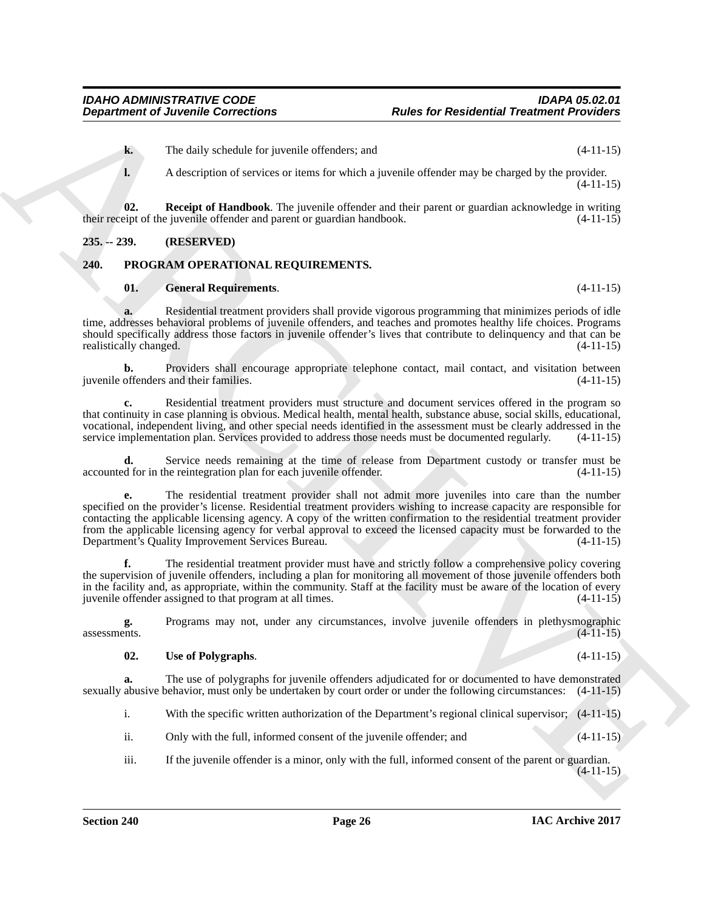- **k.** The daily schedule for juvenile offenders; and (4-11-15)
- <span id="page-25-2"></span>**l.** A description of services or items for which a juvenile offender may be charged by the provider. (4-11-15)

**02.** Receipt of Handbook. The juvenile offender and their parent or guardian acknowledge in writing eipt of the juvenile offender and parent or guardian handbook.  $(4-11-15)$ their receipt of the juvenile offender and parent or guardian handbook.

#### <span id="page-25-0"></span>**235. -- 239. (RESERVED)**

#### <span id="page-25-1"></span>**240. PROGRAM OPERATIONAL REQUIREMENTS.**

#### <span id="page-25-4"></span><span id="page-25-3"></span>**01. General Requirements**. (4-11-15)

**a.** Residential treatment providers shall provide vigorous programming that minimizes periods of idle time, addresses behavioral problems of juvenile offenders, and teaches and promotes healthy life choices. Programs should specifically address those factors in juvenile offender's lives that contribute to delinquency and that can be realistically changed. (4-11-15) realistically changed.

**b.** Providers shall encourage appropriate telephone contact, mail contact, and visitation between offenders and their families. (4-11-15) juvenile offenders and their families.

**c.** Residential treatment providers must structure and document services offered in the program so that continuity in case planning is obvious. Medical health, mental health, substance abuse, social skills, educational, vocational, independent living, and other special needs identified in the assessment must be clearly addressed in the service implementation plan. Services provided to address those needs must be documented regularly. (4-11-15)

Service needs remaining at the time of release from Department custody or transfer must be he reintegration plan for each juvenile offender. (4-11-15) accounted for in the reintegration plan for each juvenile offender.

**Expansion of Juvenile Connections**<br>
The slab vehicle to procedure discussions and<br>
The slab vehicle of vehicle slab vehicles and the specific slab vehicles are provided by the specific<br>
1. Receiving Hamilton The specific **e.** The residential treatment provider shall not admit more juveniles into care than the number specified on the provider's license. Residential treatment providers wishing to increase capacity are responsible for contacting the applicable licensing agency. A copy of the written confirmation to the residential treatment provider from the applicable licensing agency for verbal approval to exceed the licensed capacity must be forwarded to the Department's Quality Improvement Services Bureau. (4-11-15)

**f.** The residential treatment provider must have and strictly follow a comprehensive policy covering the supervision of juvenile offenders, including a plan for monitoring all movement of those juvenile offenders both in the facility and, as appropriate, within the community. Staff at the facility must be aware of the location of every juvenile offender assigned to that program at all times.  $(4-11-15)$ 

**g.** Programs may not, under any circumstances, involve juvenile offenders in plethysmographic assessments. (4-11-15)  $\alpha$ ssessments.  $(4-11-15)$ 

#### <span id="page-25-5"></span>**02. Use of Polygraphs**. (4-11-15)

**a.** The use of polygraphs for juvenile offenders adjudicated for or documented to have demonstrated sexually abusive behavior, must only be undertaken by court order or under the following circumstances: (4-11-15)

i. With the specific written authorization of the Department's regional clinical supervisor; (4-11-15)

- ii. Only with the full, informed consent of the juvenile offender; and (4-11-15)
- iii. If the juvenile offender is a minor, only with the full, informed consent of the parent or guardian.  $(4-11-15)$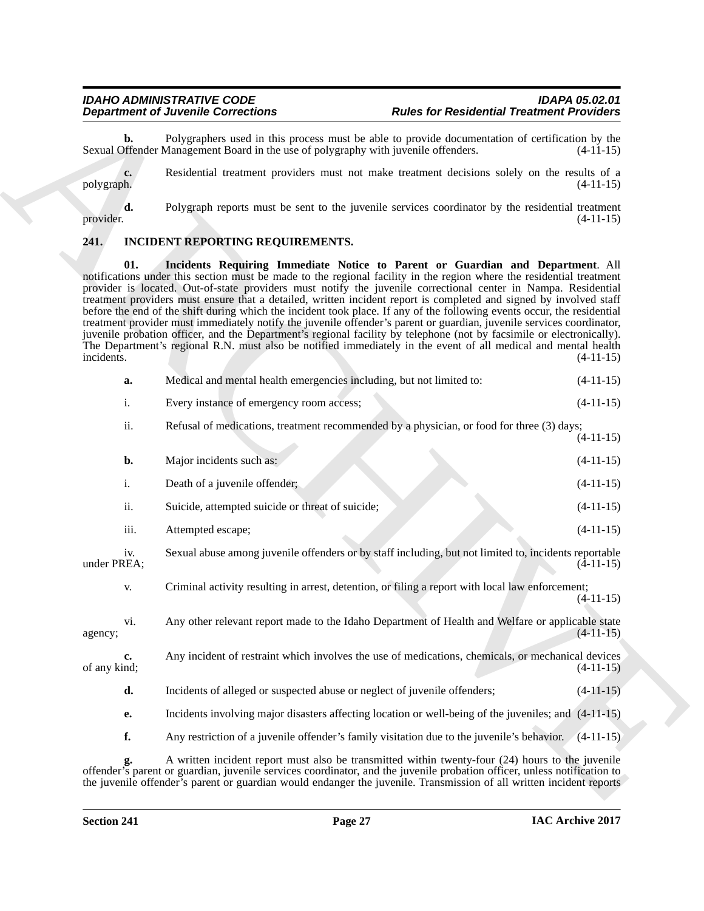### <span id="page-26-2"></span><span id="page-26-1"></span><span id="page-26-0"></span>**241. INCIDENT REPORTING REQUIREMENTS.**

|                    | <b>Department of Juvenile Corrections</b>                                                                                                                                                                                                                                                                                                                                                                                                                                                                                                                                                                                                                                                                                                                                                                                                                   | <b>Rules for Residential Treatment Providers</b>                                                      |             |
|--------------------|-------------------------------------------------------------------------------------------------------------------------------------------------------------------------------------------------------------------------------------------------------------------------------------------------------------------------------------------------------------------------------------------------------------------------------------------------------------------------------------------------------------------------------------------------------------------------------------------------------------------------------------------------------------------------------------------------------------------------------------------------------------------------------------------------------------------------------------------------------------|-------------------------------------------------------------------------------------------------------|-------------|
| b.                 | Sexual Offender Management Board in the use of polygraphy with juvenile offenders.                                                                                                                                                                                                                                                                                                                                                                                                                                                                                                                                                                                                                                                                                                                                                                          | Polygraphers used in this process must be able to provide documentation of certification by the       | $(4-11-15)$ |
| c.<br>polygraph.   |                                                                                                                                                                                                                                                                                                                                                                                                                                                                                                                                                                                                                                                                                                                                                                                                                                                             | Residential treatment providers must not make treatment decisions solely on the results of a          | $(4-11-15)$ |
| d.<br>provider.    |                                                                                                                                                                                                                                                                                                                                                                                                                                                                                                                                                                                                                                                                                                                                                                                                                                                             | Polygraph reports must be sent to the juvenile services coordinator by the residential treatment      | $(4-11-15)$ |
| 241.               | INCIDENT REPORTING REQUIREMENTS.                                                                                                                                                                                                                                                                                                                                                                                                                                                                                                                                                                                                                                                                                                                                                                                                                            |                                                                                                       |             |
| 01.<br>incidents.  | notifications under this section must be made to the regional facility in the region where the residential treatment<br>provider is located. Out-of-state providers must notify the juvenile correctional center in Nampa. Residential<br>treatment providers must ensure that a detailed, written incident report is completed and signed by involved staff<br>before the end of the shift during which the incident took place. If any of the following events occur, the residential<br>treatment provider must immediately notify the juvenile offender's parent or guardian, juvenile services coordinator,<br>juvenile probation officer, and the Department's regional facility by telephone (not by facsimile or electronically).<br>The Department's regional R.N. must also be notified immediately in the event of all medical and mental health | Incidents Requiring Immediate Notice to Parent or Guardian and Department. All                        | $(4-11-15)$ |
| a.                 | Medical and mental health emergencies including, but not limited to:                                                                                                                                                                                                                                                                                                                                                                                                                                                                                                                                                                                                                                                                                                                                                                                        |                                                                                                       | $(4-11-15)$ |
| i.                 | Every instance of emergency room access;                                                                                                                                                                                                                                                                                                                                                                                                                                                                                                                                                                                                                                                                                                                                                                                                                    |                                                                                                       | $(4-11-15)$ |
| ii.                |                                                                                                                                                                                                                                                                                                                                                                                                                                                                                                                                                                                                                                                                                                                                                                                                                                                             | Refusal of medications, treatment recommended by a physician, or food for three (3) days;             | $(4-11-15)$ |
| b.                 | Major incidents such as:                                                                                                                                                                                                                                                                                                                                                                                                                                                                                                                                                                                                                                                                                                                                                                                                                                    |                                                                                                       | $(4-11-15)$ |
| i.                 | Death of a juvenile offender;                                                                                                                                                                                                                                                                                                                                                                                                                                                                                                                                                                                                                                                                                                                                                                                                                               |                                                                                                       | $(4-11-15)$ |
| ii.                | Suicide, attempted suicide or threat of suicide;                                                                                                                                                                                                                                                                                                                                                                                                                                                                                                                                                                                                                                                                                                                                                                                                            |                                                                                                       | $(4-11-15)$ |
| iii.               | Attempted escape;                                                                                                                                                                                                                                                                                                                                                                                                                                                                                                                                                                                                                                                                                                                                                                                                                                           |                                                                                                       | $(4-11-15)$ |
| iv.<br>under PREA; |                                                                                                                                                                                                                                                                                                                                                                                                                                                                                                                                                                                                                                                                                                                                                                                                                                                             | Sexual abuse among juvenile offenders or by staff including, but not limited to, incidents reportable | $(4-11-15)$ |
| V.                 |                                                                                                                                                                                                                                                                                                                                                                                                                                                                                                                                                                                                                                                                                                                                                                                                                                                             | Criminal activity resulting in arrest, detention, or filing a report with local law enforcement;      | $(4-11-15)$ |
| V1.<br>agency;     |                                                                                                                                                                                                                                                                                                                                                                                                                                                                                                                                                                                                                                                                                                                                                                                                                                                             | Any other relevant report made to the Idaho Department of Health and Welfare or applicable state      | $(4-11-15)$ |
| c.<br>of any kind; |                                                                                                                                                                                                                                                                                                                                                                                                                                                                                                                                                                                                                                                                                                                                                                                                                                                             | Any incident of restraint which involves the use of medications, chemicals, or mechanical devices     | $(4-11-15)$ |
| d.                 | Incidents of alleged or suspected abuse or neglect of juvenile offenders;                                                                                                                                                                                                                                                                                                                                                                                                                                                                                                                                                                                                                                                                                                                                                                                   |                                                                                                       | $(4-11-15)$ |
| <b>e.</b>          |                                                                                                                                                                                                                                                                                                                                                                                                                                                                                                                                                                                                                                                                                                                                                                                                                                                             | Incidents involving major disasters affecting location or well-being of the juveniles; and (4-11-15)  |             |
| f.                 |                                                                                                                                                                                                                                                                                                                                                                                                                                                                                                                                                                                                                                                                                                                                                                                                                                                             | Any restriction of a juvenile offender's family visitation due to the juvenile's behavior. (4-11-15)  |             |
|                    | offender's parent or guardian, juvenile services coordinator, and the juvenile probation officer, unless notification to<br>the juvenile offender's parent or guardian would endanger the juvenile. Transmission of all written incident reports                                                                                                                                                                                                                                                                                                                                                                                                                                                                                                                                                                                                            | A written incident report must also be transmitted within twenty-four (24) hours to the juvenile      |             |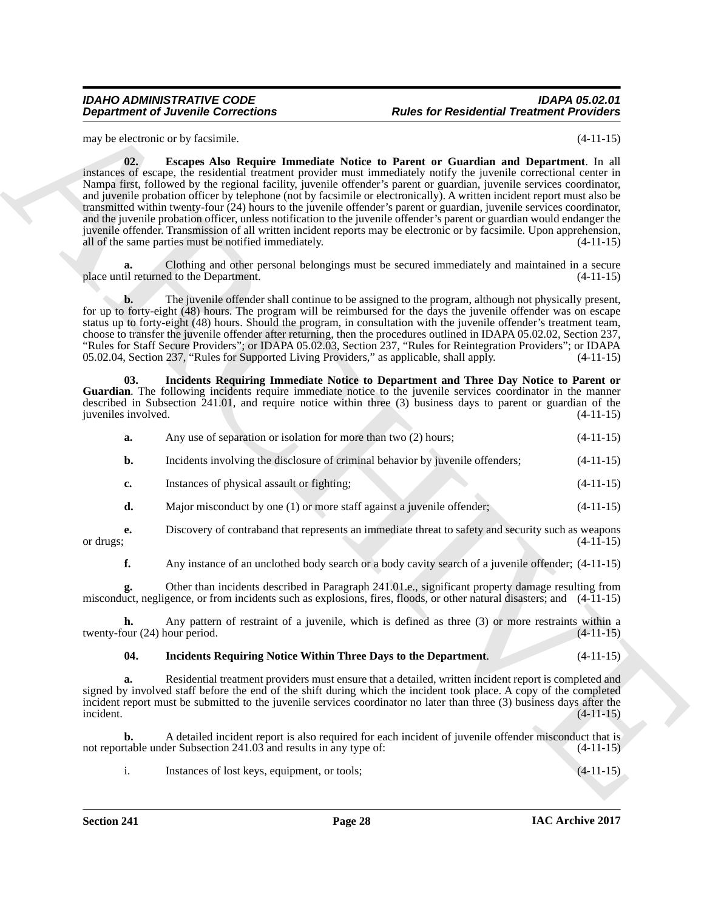#### *IDAHO ADMINISTRATIVE CODE IDAPA 05.02.01 Rules for Residential Treatment Providers*

<span id="page-27-0"></span>may be electronic or by facsimile. (4-11-15)

**Department of Juvenile Connections**<br>
any of the star Residential Treatment Providers<br>
any of the star Residential Treatment Providers<br>
Altitude in the star Residential Treatment Connections<br>
any of the star Resident Conn **02. Escapes Also Require Immediate Notice to Parent or Guardian and Department**. In all instances of escape, the residential treatment provider must immediately notify the juvenile correctional center in Nampa first, followed by the regional facility, juvenile offender's parent or guardian, juvenile services coordinator, and juvenile probation officer by telephone (not by facsimile or electronically). A written incident report must also be transmitted within twenty-four (24) hours to the juvenile offender's parent or guardian, juvenile services coordinator, and the juvenile probation officer, unless notification to the juvenile offender's parent or guardian would endanger the juvenile offender. Transmission of all written incident reports may be electronic or by facsimile. Upon apprehension, all of the same parties must be notified immediately. (4-11-15)

**a.** Clothing and other personal belongings must be secured immediately and maintained in a secure place until returned to the Department.

**b.** The juvenile offender shall continue to be assigned to the program, although not physically present, for up to forty-eight (48) hours. The program will be reimbursed for the days the juvenile offender was on escape status up to forty-eight (48) hours. Should the program, in consultation with the juvenile offender's treatment team, choose to transfer the juvenile offender after returning, then the procedures outlined in IDAPA 05.02.02, Section 237, "Rules for Staff Secure Providers"; or IDAPA 05.02.03, Section 237, "Rules for Reintegration Providers"; or IDAPA 05.02.04, Section 237, "Rules for Supported Living Providers," as applicable, shall apply. (4-11-15)

**03. Incidents Requiring Immediate Notice to Department and Three Day Notice to Parent or Guardian**. The following incidents require immediate notice to the juvenile services coordinator in the manner described in Subsection 241.01, and require notice within three (3) business days to parent or guardian of the juveniles involved. (4-11-15)

<span id="page-27-1"></span>

| a.            | Any use of separation or isolation for more than two (2) hours;                | $(4-11-15)$ |
|---------------|--------------------------------------------------------------------------------|-------------|
| b.            | Incidents involving the disclosure of criminal behavior by juvenile offenders; | $(4-11-15)$ |
| $c_{\bullet}$ | Instances of physical assault or fighting;                                     | $(4-11-15)$ |

- **d.** Major misconduct by one (1) or more staff against a juvenile offender; (4-11-15)
- **e.** Discovery of contraband that represents an immediate threat to safety and security such as weapons or drugs;  $(4-11-15)$ or drugs;  $(4-11-15)$

**f.** Any instance of an unclothed body search or a body cavity search of a juvenile offender; (4-11-15)

**g.** Other than incidents described in Paragraph 241.01.e., significant property damage resulting from misconduct, negligence, or from incidents such as explosions, fires, floods, or other natural disasters; and (4-11-15)

**h.** Any pattern of restraint of a juvenile, which is defined as three (3) or more restraints within a our (24) hour period. (4-11-15) twenty-four  $(24)$  hour period.

#### <span id="page-27-2"></span>**04. Incidents Requiring Notice Within Three Days to the Department**. (4-11-15)

**a.** Residential treatment providers must ensure that a detailed, written incident report is completed and signed by involved staff before the end of the shift during which the incident took place. A copy of the completed incident report must be submitted to the juvenile services coordinator no later than three (3) business days after the incident.  $i$  incident.  $(4-11-15)$ 

**b.** A detailed incident report is also required for each incident of juvenile offender misconduct that is not reportable under Subsection 241.03 and results in any type of: (4-11-15)

i. Instances of lost keys, equipment, or tools; (4-11-15)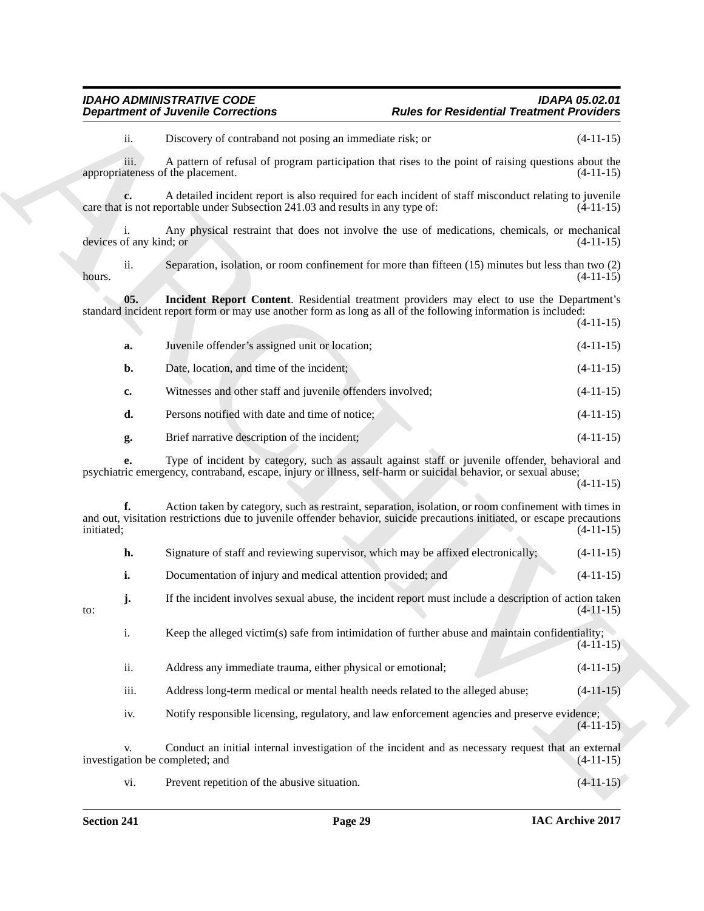#### <span id="page-28-0"></span>*IDAHO ADMINISTRATIVE CODE IDAPA 05.02.01* **Rules for Residential Treatment Providers**

|                                           | <b>Department of Juvenile Corrections</b>                                                                                                                                                                                         | <b>Rules for Residential Treatment Providers</b> |             |
|-------------------------------------------|-----------------------------------------------------------------------------------------------------------------------------------------------------------------------------------------------------------------------------------|--------------------------------------------------|-------------|
| ii.                                       | Discovery of contraband not posing an immediate risk; or                                                                                                                                                                          |                                                  | $(4-11-15)$ |
| iii.<br>appropriateness of the placement. | A pattern of refusal of program participation that rises to the point of raising questions about the                                                                                                                              |                                                  | $(4-11-15)$ |
| c.                                        | A detailed incident report is also required for each incident of staff misconduct relating to juvenile<br>care that is not reportable under Subsection 241.03 and results in any type of:                                         |                                                  | $(4-11-15)$ |
| devices of any kind; or                   | Any physical restraint that does not involve the use of medications, chemicals, or mechanical                                                                                                                                     |                                                  | $(4-11-15)$ |
| ii.<br>hours.                             | Separation, isolation, or room confinement for more than fifteen (15) minutes but less than two (2)                                                                                                                               |                                                  | $(4-11-15)$ |
| 05.                                       | Incident Report Content. Residential treatment providers may elect to use the Department's<br>standard incident report form or may use another form as long as all of the following information is included:                      |                                                  | $(4-11-15)$ |
| a.                                        | Juvenile offender's assigned unit or location;                                                                                                                                                                                    |                                                  | $(4-11-15)$ |
| b.                                        | Date, location, and time of the incident;                                                                                                                                                                                         |                                                  | $(4-11-15)$ |
| c.                                        | Witnesses and other staff and juvenile offenders involved;                                                                                                                                                                        |                                                  | $(4-11-15)$ |
| d.                                        | Persons notified with date and time of notice;                                                                                                                                                                                    |                                                  | $(4-11-15)$ |
| g.                                        | Brief narrative description of the incident;                                                                                                                                                                                      |                                                  | $(4-11-15)$ |
| e.                                        | Type of incident by category, such as assault against staff or juvenile offender, behavioral and<br>psychiatric emergency, contraband, escape, injury or illness, self-harm or suicidal behavior, or sexual abuse;                |                                                  | $(4-11-15)$ |
| f.<br>initiated;                          | Action taken by category, such as restraint, separation, isolation, or room confinement with times in<br>and out, visitation restrictions due to juvenile offender behavior, suicide precautions initiated, or escape precautions |                                                  | $(4-11-15)$ |
| h.                                        | Signature of staff and reviewing supervisor, which may be affixed electronically;                                                                                                                                                 |                                                  | $(4-11-15)$ |
| i.                                        | Documentation of injury and medical attention provided; and                                                                                                                                                                       |                                                  | $(4-11-15)$ |
| j.<br>to:                                 | If the incident involves sexual abuse, the incident report must include a description of action taken                                                                                                                             |                                                  | $(4-11-15)$ |
| $i$ .                                     | Keep the alleged victim(s) safe from intimidation of further abuse and maintain confidentiality;                                                                                                                                  |                                                  | $(4-11-15)$ |
| ii.                                       | Address any immediate trauma, either physical or emotional;                                                                                                                                                                       |                                                  | $(4-11-15)$ |
| iii.                                      | Address long-term medical or mental health needs related to the alleged abuse;                                                                                                                                                    |                                                  | $(4-11-15)$ |
| iv.                                       | Notify responsible licensing, regulatory, and law enforcement agencies and preserve evidence;                                                                                                                                     |                                                  | $(4-11-15)$ |
| V.<br>investigation be completed; and     | Conduct an initial internal investigation of the incident and as necessary request that an external                                                                                                                               |                                                  | $(4-11-15)$ |
| vi.                                       | Prevent repetition of the abusive situation.                                                                                                                                                                                      |                                                  | $(4-11-15)$ |

|  |  | Signature of staff and reviewing supervisor, which may be affixed electronically; |  |  | $(4-11-15)$ |
|--|--|-----------------------------------------------------------------------------------|--|--|-------------|
|--|--|-----------------------------------------------------------------------------------|--|--|-------------|

- ii. Address any immediate trauma, either physical or emotional; (4-11-15)
- iii. Address long-term medical or mental health needs related to the alleged abuse; (4-11-15)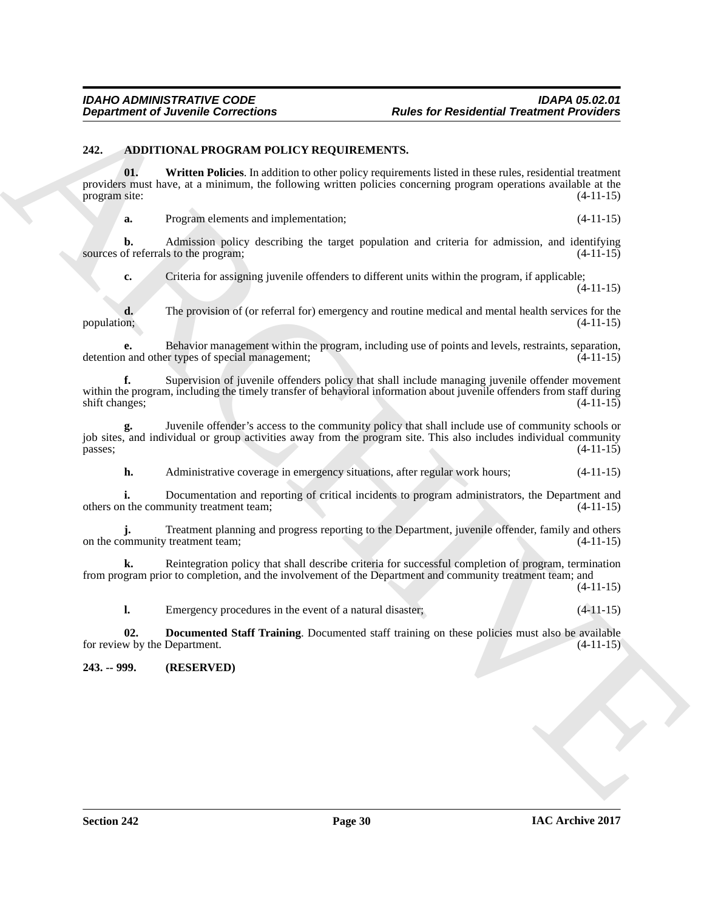#### <span id="page-29-2"></span><span id="page-29-0"></span>**242. ADDITIONAL PROGRAM POLICY REQUIREMENTS.**

**Expansion of Juvenile Connections**<br> **Although Theorems Connections**<br> **ARCHIVENG INTERFERIENT (SCIENCE AND OUTLIERT SEXUAL STATISTICS)**<br> **ARCHIVENG INTERFERIENT (SCIENCE AND OUTLIERT SEXUAL STATISTICS)**<br> **ARCHIVENG INTE 01. Written Policies**. In addition to other policy requirements listed in these rules, residential treatment providers must have, at a minimum, the following written policies concerning program operations available at the program site: (4-11-15) program site:

<span id="page-29-4"></span>**a.** Program elements and implementation; (4-11-15)

**b.** Admission policy describing the target population and criteria for admission, and identifying of referrals to the program; (4-11-15) sources of referrals to the program;

**c.** Criteria for assigning juvenile offenders to different units within the program, if applicable; (4-11-15)

**d.** The provision of (or referral for) emergency and routine medical and mental health services for the population; (4-11-15) population; (4-11-15)

**e.** Behavior management within the program, including use of points and levels, restraints, separation, and other types of special management:  $(4-11-15)$ detention and other types of special management;

**f.** Supervision of juvenile offenders policy that shall include managing juvenile offender movement within the program, including the timely transfer of behavioral information about juvenile offenders from staff during shift changes; (4-11-15)

**g.** Juvenile offender's access to the community policy that shall include use of community schools or job sites, and individual or group activities away from the program site. This also includes individual community passes;<br>(4-11-15)  $p$ asses;  $(4-11-15)$ 

**h.** Administrative coverage in emergency situations, after regular work hours;  $(4-11-15)$ 

**i.** Documentation and reporting of critical incidents to program administrators, the Department and the community treatment team;  $(4-11-15)$ others on the community treatment team;

**j.** Treatment planning and progress reporting to the Department, juvenile offender, family and others minimum (4-11-15) on the community treatment team;

**k.** Reintegration policy that shall describe criteria for successful completion of program, termination from program prior to completion, and the involvement of the Department and community treatment team; and (4-11-15)

<span id="page-29-3"></span>**l.** Emergency procedures in the event of a natural disaster;  $(4-11-15)$ 

**02. Documented Staff Training**. Documented staff training on these policies must also be available w by the Department. (4-11-15) for review by the Department.

<span id="page-29-1"></span>**243. -- 999. (RESERVED)**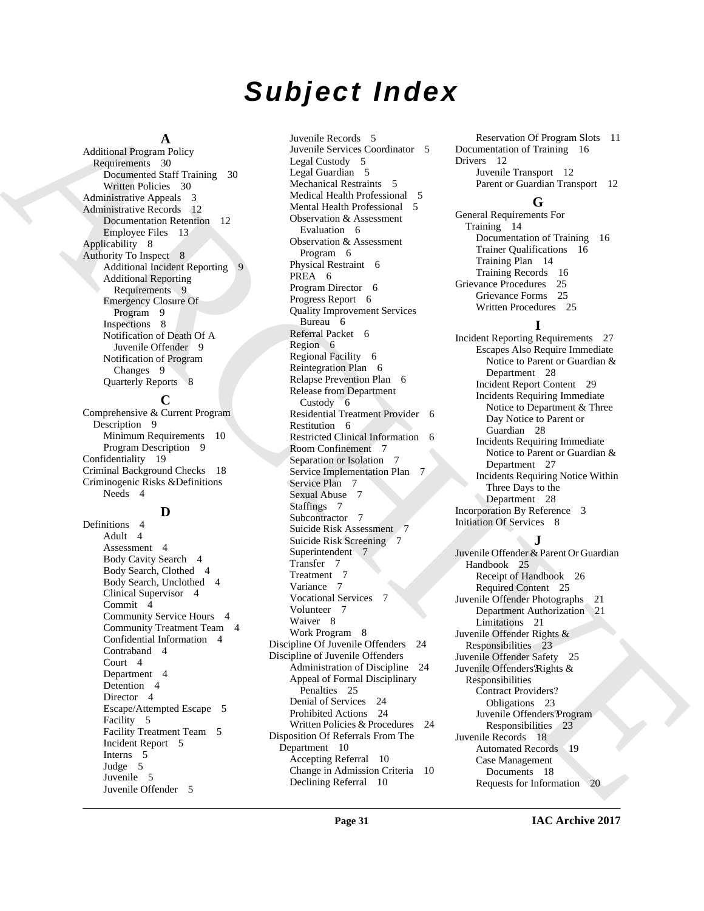# *Subject Index*

#### **A**

Additional Program Policy Requirements 30 Documented Staff Training 30 Written Policies 30 Administrative Appeals 3 Administrative Records 12 Documentation Retention 12 Employee Files 13 Applicability 8 Authority To Inspect 8 Additional Incident Reporting Additional Reporting Requirements 9 Emergency Closure Of Program 9 Inspections 8 Notification of Death Of A Juvenile Offender 9 Notification of Program Changes 9 Quarterly Reports 8

#### **C**

Comprehensive & Current Program Description 9 Minimum Requirements 10 Program Description 9 Confidentiality 19 Criminal Background Checks 18 Criminogenic Risks &Definitions Needs 4

#### **D**

Definitions 4 Adult 4 Assessment 4 Body Cavity Search 4 Body Search, Clothed 4 Body Search, Unclothed 4 Clinical Supervisor 4 Commit 4 Community Service Hours 4 Community Treatment Team 4 Confidential Information 4 Contraband 4 Court 4 Department 4 Detention 4 Director 4 Escape/Attempted Escape 5 Facility 5 Facility Treatment Team 5 Incident Report 5 Interns 5 Judge 5 Juvenile 5 Juvenile Offender 5

[A](#page-29-2)dditional [R](#page-8-2)eport For the control of the spectra of the spectra of the spectra of the spectra of the spectra of the spectra of the spectra of the spectra of the spectra of the spectra of the spectra of the spectra of the Juvenile Records 5 Juvenile Services Coordinator 5 Legal Custody 5 Legal Guardian 5 Mechanical Restraints 5 Medical Health Professional 5 Mental Health Professional 5 Observation & Assessment Evaluation 6 Observation & Assessment Program 6 Physical Restraint 6 PREA 6 Program Director 6 Progress Report 6 Quality Improvement Services Bureau 6 Referral Packet 6 Region 6 Regional Facility 6 Reintegration Plan 6 Relapse Prevention Plan 6 Release from Department Custody 6 Residential Treatment Provider 6 Restitution 6 Restricted Clinical Information 6 Room Confinement 7 Separation or Isolation 7 Service Implementation Plan 7 Service Plan 7 Sexual Abuse 7 Staffings 7 Subcontractor 7 Suicide Risk Assessment 7 Suicide Risk Screening 7 Superintendent 7 Transfer 7 Treatment 7 Variance 7 Vocational Services 7 Volunteer 7 Waiver 8 Work Program 8 Discipline Of Juvenile Offenders 24 Discipline of Juvenile Offenders Administration of Discipline 24 Appeal of Formal Disciplinary Penalties 25 Denial of Services 24 Prohibited Actions 24 Written Policies & Procedures 24 Disposition Of Referrals From The Department 10 Accepting Referral 10 Change in Admission Criteria 10 Declining Referral 10

Reservation Of Program Slots 11 Documentation of Training 16 Drivers 12 Juvenile Transport 12 Parent or Guardian Transport 12

### **G**

General Requirements For Training 14 Documentation of Training 16 Trainer Qualifications 16 Training Plan 14 Training Records 16 Grievance Procedures 25 Grievance Forms 25 Written Procedures 25

### **I**

Incident Reporting Requirements 27 Escapes Also Require Immediate Notice to Parent or Guardian & Department 28 Incident Report Content 29 Incidents Requiring Immediate Notice to Department & Three Day Notice to Parent or Guardian 28 Incidents Requiring Immediate Notice to Parent or Guardian & Department 27 Incidents Requiring Notice Within Three Days to the Department 28 Incorporation By Reference 3 Initiation Of Services 8

### **J**

Juvenile Offender & Parent Or Guardian Handbook 25 Receipt of Handbook 26 Required Content 25 Juvenile Offender Photographs 21 Department Authorization 21 Limitations 21 Juvenile Offender Rights & Responsibilities 23 Juvenile Offender Safety 25 Juvenile Offenders Rights & Responsibilities Contract Providers? Obligations 23 Juvenile Offenders? Program Responsibilities 23 Juvenile Records 18 Automated Records 19 Case Management Documents 18 Requests for Information 20